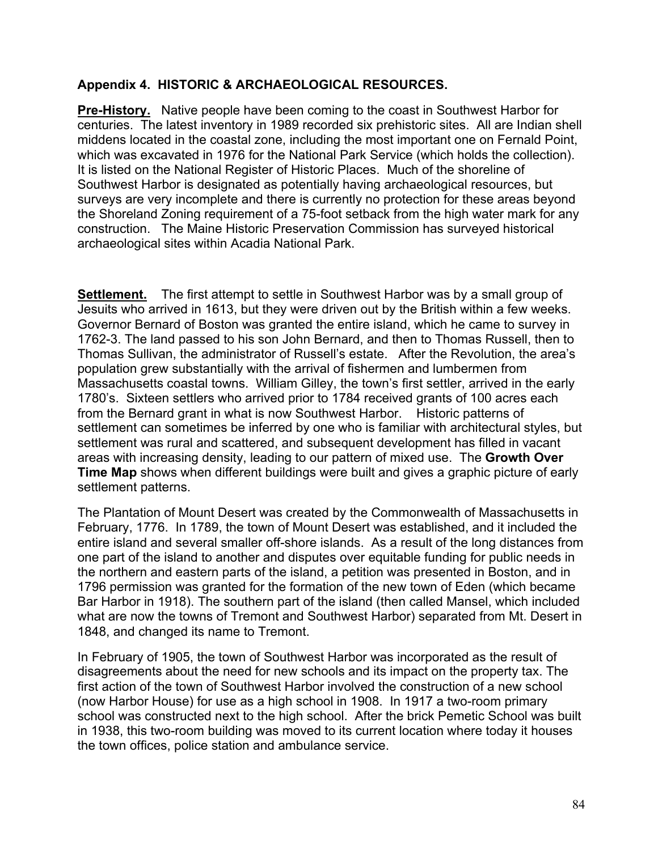#### **Appendix 4. HISTORIC & ARCHAEOLOGICAL RESOURCES.**

**Pre-History.** Native people have been coming to the coast in Southwest Harbor for centuries. The latest inventory in 1989 recorded six prehistoric sites. All are Indian shell middens located in the coastal zone, including the most important one on Fernald Point, which was excavated in 1976 for the National Park Service (which holds the collection). It is listed on the National Register of Historic Places. Much of the shoreline of Southwest Harbor is designated as potentially having archaeological resources, but surveys are very incomplete and there is currently no protection for these areas beyond the Shoreland Zoning requirement of a 75-foot setback from the high water mark for any construction. The Maine Historic Preservation Commission has surveyed historical archaeological sites within Acadia National Park.

**Settlement.** The first attempt to settle in Southwest Harbor was by a small group of Jesuits who arrived in 1613, but they were driven out by the British within a few weeks. Governor Bernard of Boston was granted the entire island, which he came to survey in 1762-3. The land passed to his son John Bernard, and then to Thomas Russell, then to Thomas Sullivan, the administrator of Russell's estate. After the Revolution, the area's population grew substantially with the arrival of fishermen and lumbermen from Massachusetts coastal towns. William Gilley, the town's first settler, arrived in the early 1780's. Sixteen settlers who arrived prior to 1784 received grants of 100 acres each from the Bernard grant in what is now Southwest Harbor. Historic patterns of settlement can sometimes be inferred by one who is familiar with architectural styles, but settlement was rural and scattered, and subsequent development has filled in vacant areas with increasing density, leading to our pattern of mixed use. The **Growth Over Time Map** shows when different buildings were built and gives a graphic picture of early settlement patterns.

The Plantation of Mount Desert was created by the Commonwealth of Massachusetts in February, 1776. In 1789, the town of Mount Desert was established, and it included the entire island and several smaller off-shore islands. As a result of the long distances from one part of the island to another and disputes over equitable funding for public needs in the northern and eastern parts of the island, a petition was presented in Boston, and in 1796 permission was granted for the formation of the new town of Eden (which became Bar Harbor in 1918). The southern part of the island (then called Mansel, which included what are now the towns of Tremont and Southwest Harbor) separated from Mt. Desert in 1848, and changed its name to Tremont.

In February of 1905, the town of Southwest Harbor was incorporated as the result of disagreements about the need for new schools and its impact on the property tax. The first action of the town of Southwest Harbor involved the construction of a new school (now Harbor House) for use as a high school in 1908. In 1917 a two-room primary school was constructed next to the high school. After the brick Pemetic School was built in 1938, this two-room building was moved to its current location where today it houses the town offices, police station and ambulance service.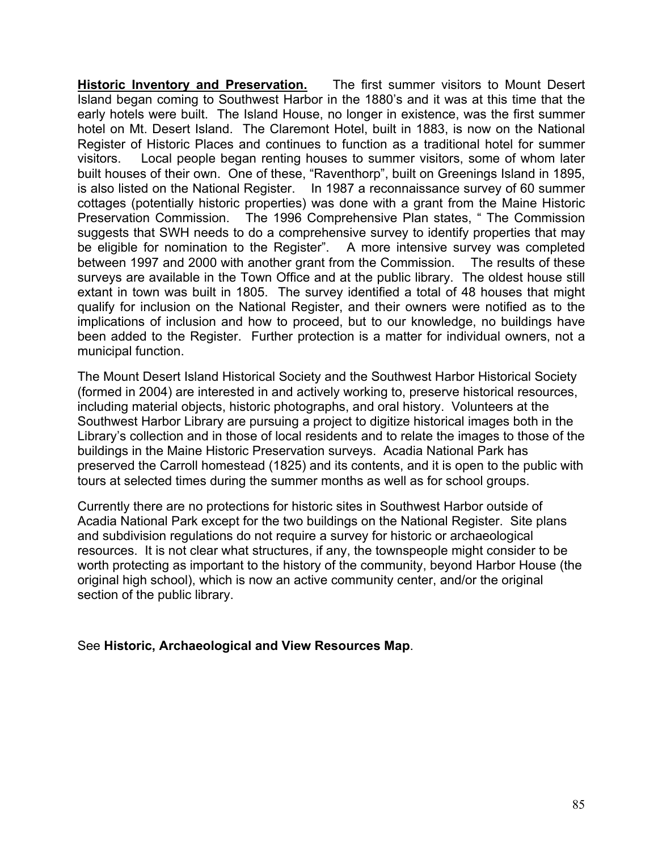**Historic Inventory and Preservation.** The first summer visitors to Mount Desert Island began coming to Southwest Harbor in the 1880's and it was at this time that the early hotels were built. The Island House, no longer in existence, was the first summer hotel on Mt. Desert Island. The Claremont Hotel, built in 1883, is now on the National Register of Historic Places and continues to function as a traditional hotel for summer visitors. Local people began renting houses to summer visitors, some of whom later built houses of their own. One of these, "Raventhorp", built on Greenings Island in 1895, is also listed on the National Register. In 1987 a reconnaissance survey of 60 summer cottages (potentially historic properties) was done with a grant from the Maine Historic Preservation Commission. The 1996 Comprehensive Plan states, " The Commission suggests that SWH needs to do a comprehensive survey to identify properties that may be eligible for nomination to the Register". A more intensive survey was completed between 1997 and 2000 with another grant from the Commission. The results of these surveys are available in the Town Office and at the public library. The oldest house still extant in town was built in 1805. The survey identified a total of 48 houses that might qualify for inclusion on the National Register, and their owners were notified as to the implications of inclusion and how to proceed, but to our knowledge, no buildings have been added to the Register. Further protection is a matter for individual owners, not a municipal function.

The Mount Desert Island Historical Society and the Southwest Harbor Historical Society (formed in 2004) are interested in and actively working to, preserve historical resources, including material objects, historic photographs, and oral history. Volunteers at the Southwest Harbor Library are pursuing a project to digitize historical images both in the Library's collection and in those of local residents and to relate the images to those of the buildings in the Maine Historic Preservation surveys. Acadia National Park has preserved the Carroll homestead (1825) and its contents, and it is open to the public with tours at selected times during the summer months as well as for school groups.

Currently there are no protections for historic sites in Southwest Harbor outside of Acadia National Park except for the two buildings on the National Register. Site plans and subdivision regulations do not require a survey for historic or archaeological resources. It is not clear what structures, if any, the townspeople might consider to be worth protecting as important to the history of the community, beyond Harbor House (the original high school), which is now an active community center, and/or the original section of the public library.

See **Historic, Archaeological and View Resources Map**.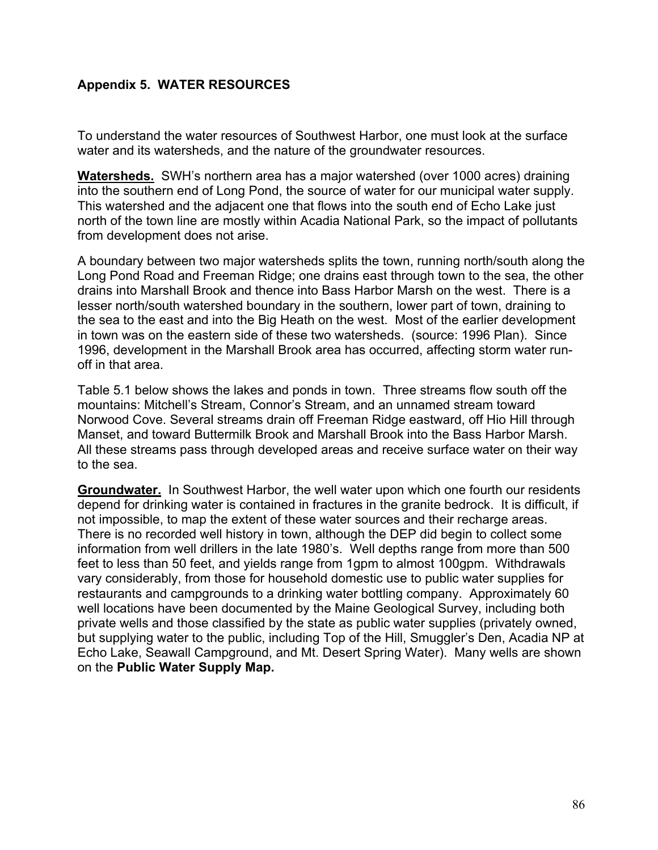## **Appendix 5. WATER RESOURCES**

To understand the water resources of Southwest Harbor, one must look at the surface water and its watersheds, and the nature of the groundwater resources.

**Watersheds.** SWH's northern area has a major watershed (over 1000 acres) draining into the southern end of Long Pond, the source of water for our municipal water supply. This watershed and the adjacent one that flows into the south end of Echo Lake just north of the town line are mostly within Acadia National Park, so the impact of pollutants from development does not arise.

A boundary between two major watersheds splits the town, running north/south along the Long Pond Road and Freeman Ridge; one drains east through town to the sea, the other drains into Marshall Brook and thence into Bass Harbor Marsh on the west. There is a lesser north/south watershed boundary in the southern, lower part of town, draining to the sea to the east and into the Big Heath on the west. Most of the earlier development in town was on the eastern side of these two watersheds. (source: 1996 Plan). Since 1996, development in the Marshall Brook area has occurred, affecting storm water runoff in that area.

Table 5.1 below shows the lakes and ponds in town. Three streams flow south off the mountains: Mitchell's Stream, Connor's Stream, and an unnamed stream toward Norwood Cove. Several streams drain off Freeman Ridge eastward, off Hio Hill through Manset, and toward Buttermilk Brook and Marshall Brook into the Bass Harbor Marsh. All these streams pass through developed areas and receive surface water on their way to the sea.

**Groundwater.** In Southwest Harbor, the well water upon which one fourth our residents depend for drinking water is contained in fractures in the granite bedrock. It is difficult, if not impossible, to map the extent of these water sources and their recharge areas. There is no recorded well history in town, although the DEP did begin to collect some information from well drillers in the late 1980's. Well depths range from more than 500 feet to less than 50 feet, and yields range from 1gpm to almost 100gpm. Withdrawals vary considerably, from those for household domestic use to public water supplies for restaurants and campgrounds to a drinking water bottling company. Approximately 60 well locations have been documented by the Maine Geological Survey, including both private wells and those classified by the state as public water supplies (privately owned, but supplying water to the public, including Top of the Hill, Smuggler's Den, Acadia NP at Echo Lake, Seawall Campground, and Mt. Desert Spring Water). Many wells are shown on the **Public Water Supply Map.**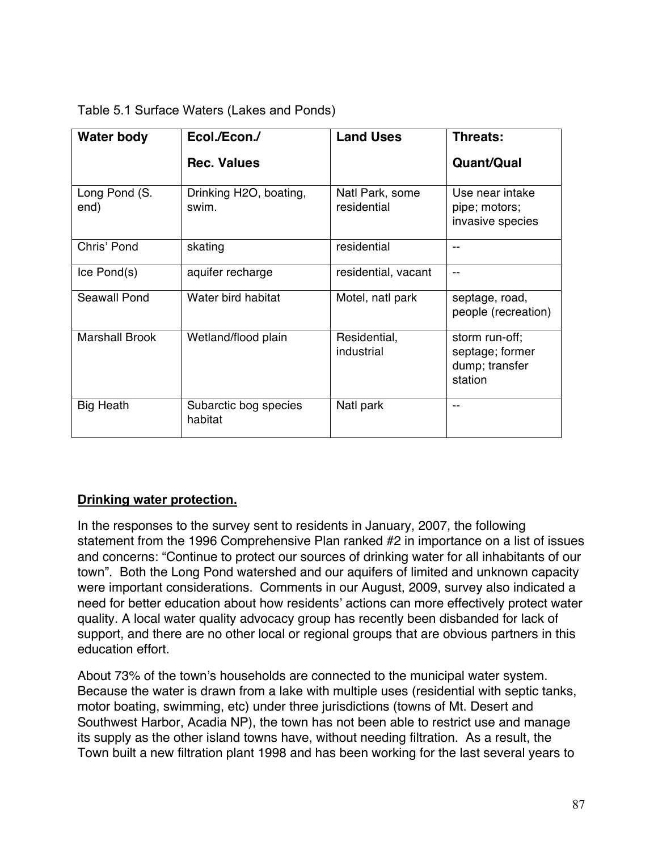| Table 5.1 Surface Waters (Lakes and Ponds) |
|--------------------------------------------|
|--------------------------------------------|

| <b>Water body</b>     | Ecol./Econ./                     | <b>Land Uses</b>               | Threats:                                                       |
|-----------------------|----------------------------------|--------------------------------|----------------------------------------------------------------|
|                       | <b>Rec. Values</b>               |                                | Quant/Qual                                                     |
| Long Pond (S.<br>end) | Drinking H2O, boating,<br>swim.  | Natl Park, some<br>residential | Use near intake<br>pipe; motors;<br>invasive species           |
| Chris' Pond           | skating                          | residential                    | --                                                             |
| Ice Pond(s)           | aquifer recharge                 | residential, vacant            | --                                                             |
| Seawall Pond          | Water bird habitat               | Motel, natl park               | septage, road,<br>people (recreation)                          |
| <b>Marshall Brook</b> | Wetland/flood plain              | Residential,<br>industrial     | storm run-off;<br>septage; former<br>dump; transfer<br>station |
| <b>Big Heath</b>      | Subarctic bog species<br>habitat | Natl park                      |                                                                |

## **Drinking water protection.**

In the responses to the survey sent to residents in January, 2007, the following statement from the 1996 Comprehensive Plan ranked #2 in importance on a list of issues and concerns: "Continue to protect our sources of drinking water for all inhabitants of our town". Both the Long Pond watershed and our aquifers of limited and unknown capacity were important considerations. Comments in our August, 2009, survey also indicated a need for better education about how residents' actions can more effectively protect water quality. A local water quality advocacy group has recently been disbanded for lack of support, and there are no other local or regional groups that are obvious partners in this education effort.

About 73% of the town's households are connected to the municipal water system. Because the water is drawn from a lake with multiple uses (residential with septic tanks, motor boating, swimming, etc) under three jurisdictions (towns of Mt. Desert and Southwest Harbor, Acadia NP), the town has not been able to restrict use and manage its supply as the other island towns have, without needing filtration. As a result, the Town built a new filtration plant 1998 and has been working for the last several years to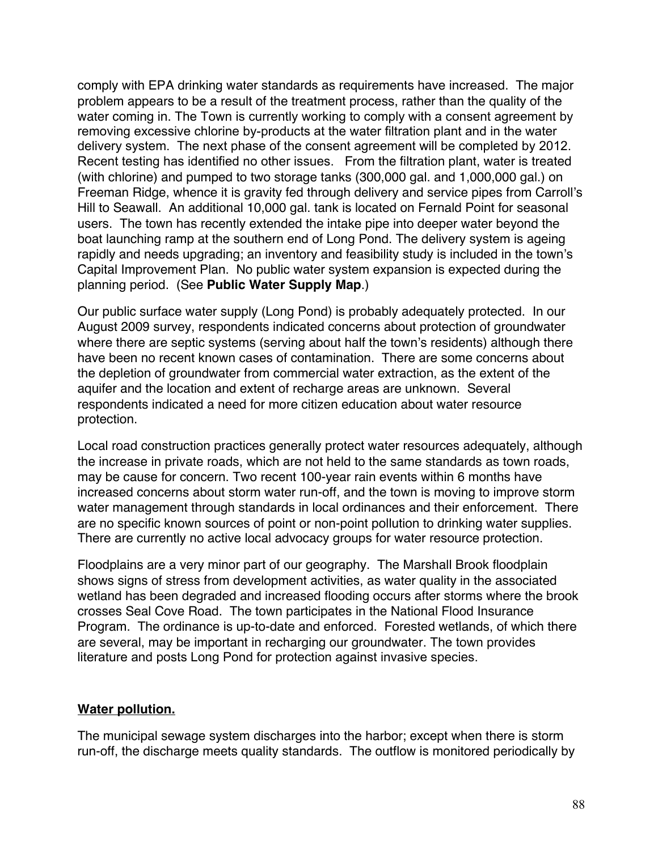comply with EPA drinking water standards as requirements have increased. The major problem appears to be a result of the treatment process, rather than the quality of the water coming in. The Town is currently working to comply with a consent agreement by removing excessive chlorine by-products at the water filtration plant and in the water delivery system. The next phase of the consent agreement will be completed by 2012. Recent testing has identified no other issues. From the filtration plant, water is treated (with chlorine) and pumped to two storage tanks (300,000 gal. and 1,000,000 gal.) on Freeman Ridge, whence it is gravity fed through delivery and service pipes from Carroll's Hill to Seawall. An additional 10,000 gal. tank is located on Fernald Point for seasonal users. The town has recently extended the intake pipe into deeper water beyond the boat launching ramp at the southern end of Long Pond. The delivery system is ageing rapidly and needs upgrading; an inventory and feasibility study is included in the town's Capital Improvement Plan. No public water system expansion is expected during the planning period. (See **Public Water Supply Map**.)

Our public surface water supply (Long Pond) is probably adequately protected. In our August 2009 survey, respondents indicated concerns about protection of groundwater where there are septic systems (serving about half the town's residents) although there have been no recent known cases of contamination. There are some concerns about the depletion of groundwater from commercial water extraction, as the extent of the aquifer and the location and extent of recharge areas are unknown. Several respondents indicated a need for more citizen education about water resource protection.

Local road construction practices generally protect water resources adequately, although the increase in private roads, which are not held to the same standards as town roads, may be cause for concern. Two recent 100-year rain events within 6 months have increased concerns about storm water run-off, and the town is moving to improve storm water management through standards in local ordinances and their enforcement. There are no specific known sources of point or non-point pollution to drinking water supplies. There are currently no active local advocacy groups for water resource protection.

Floodplains are a very minor part of our geography. The Marshall Brook floodplain shows signs of stress from development activities, as water quality in the associated wetland has been degraded and increased flooding occurs after storms where the brook crosses Seal Cove Road. The town participates in the National Flood Insurance Program. The ordinance is up-to-date and enforced. Forested wetlands, of which there are several, may be important in recharging our groundwater. The town provides literature and posts Long Pond for protection against invasive species.

## **Water pollution.**

The municipal sewage system discharges into the harbor; except when there is storm run-off, the discharge meets quality standards. The outflow is monitored periodically by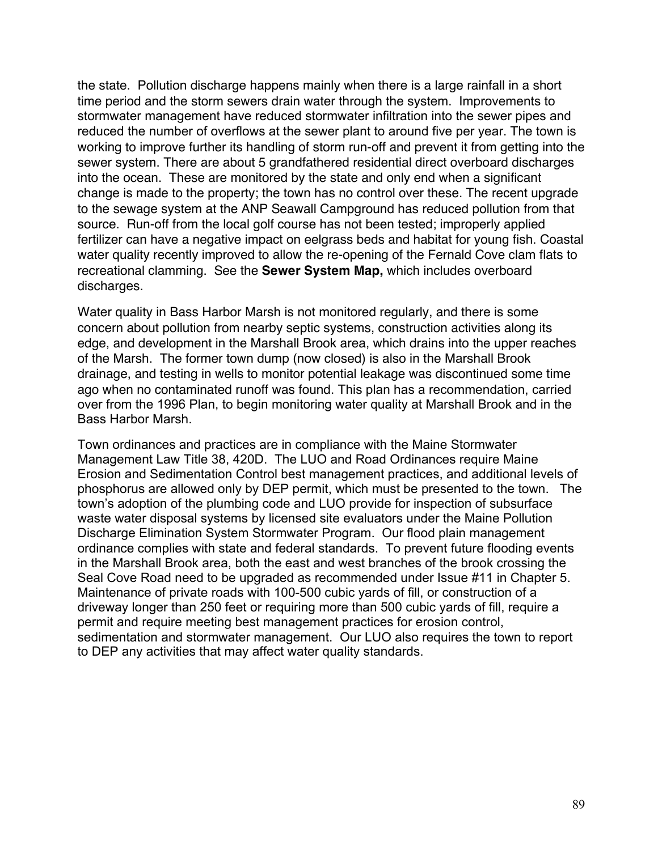the state. Pollution discharge happens mainly when there is a large rainfall in a short time period and the storm sewers drain water through the system. Improvements to stormwater management have reduced stormwater infiltration into the sewer pipes and reduced the number of overflows at the sewer plant to around five per year. The town is working to improve further its handling of storm run-off and prevent it from getting into the sewer system. There are about 5 grandfathered residential direct overboard discharges into the ocean. These are monitored by the state and only end when a significant change is made to the property; the town has no control over these. The recent upgrade to the sewage system at the ANP Seawall Campground has reduced pollution from that source. Run-off from the local golf course has not been tested; improperly applied fertilizer can have a negative impact on eelgrass beds and habitat for young fish. Coastal water quality recently improved to allow the re-opening of the Fernald Cove clam flats to recreational clamming. See the **Sewer System Map,** which includes overboard discharges.

Water quality in Bass Harbor Marsh is not monitored regularly, and there is some concern about pollution from nearby septic systems, construction activities along its edge, and development in the Marshall Brook area, which drains into the upper reaches of the Marsh. The former town dump (now closed) is also in the Marshall Brook drainage, and testing in wells to monitor potential leakage was discontinued some time ago when no contaminated runoff was found. This plan has a recommendation, carried over from the 1996 Plan, to begin monitoring water quality at Marshall Brook and in the Bass Harbor Marsh.

Town ordinances and practices are in compliance with the Maine Stormwater Management Law Title 38, 420D. The LUO and Road Ordinances require Maine Erosion and Sedimentation Control best management practices, and additional levels of phosphorus are allowed only by DEP permit, which must be presented to the town. The town's adoption of the plumbing code and LUO provide for inspection of subsurface waste water disposal systems by licensed site evaluators under the Maine Pollution Discharge Elimination System Stormwater Program. Our flood plain management ordinance complies with state and federal standards. To prevent future flooding events in the Marshall Brook area, both the east and west branches of the brook crossing the Seal Cove Road need to be upgraded as recommended under Issue #11 in Chapter 5. Maintenance of private roads with 100-500 cubic yards of fill, or construction of a driveway longer than 250 feet or requiring more than 500 cubic yards of fill, require a permit and require meeting best management practices for erosion control, sedimentation and stormwater management. Our LUO also requires the town to report to DEP any activities that may affect water quality standards.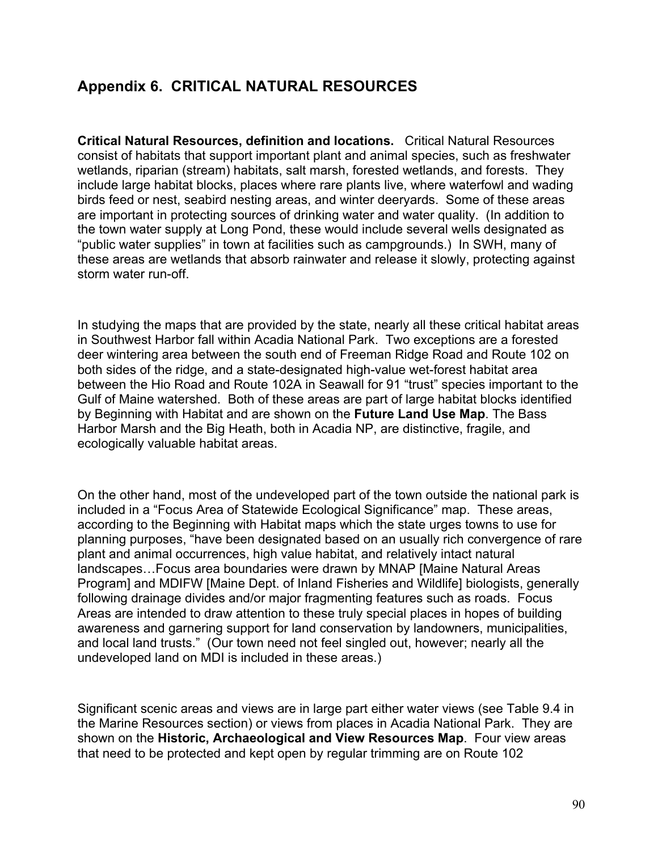## **Appendix 6. CRITICAL NATURAL RESOURCES**

**Critical Natural Resources, definition and locations.** Critical Natural Resources consist of habitats that support important plant and animal species, such as freshwater wetlands, riparian (stream) habitats, salt marsh, forested wetlands, and forests. They include large habitat blocks, places where rare plants live, where waterfowl and wading birds feed or nest, seabird nesting areas, and winter deeryards. Some of these areas are important in protecting sources of drinking water and water quality. (In addition to the town water supply at Long Pond, these would include several wells designated as "public water supplies" in town at facilities such as campgrounds.) In SWH, many of these areas are wetlands that absorb rainwater and release it slowly, protecting against storm water run-off.

In studying the maps that are provided by the state, nearly all these critical habitat areas in Southwest Harbor fall within Acadia National Park. Two exceptions are a forested deer wintering area between the south end of Freeman Ridge Road and Route 102 on both sides of the ridge, and a state-designated high-value wet-forest habitat area between the Hio Road and Route 102A in Seawall for 91 "trust" species important to the Gulf of Maine watershed. Both of these areas are part of large habitat blocks identified by Beginning with Habitat and are shown on the **Future Land Use Map**. The Bass Harbor Marsh and the Big Heath, both in Acadia NP, are distinctive, fragile, and ecologically valuable habitat areas.

On the other hand, most of the undeveloped part of the town outside the national park is included in a "Focus Area of Statewide Ecological Significance" map. These areas, according to the Beginning with Habitat maps which the state urges towns to use for planning purposes, "have been designated based on an usually rich convergence of rare plant and animal occurrences, high value habitat, and relatively intact natural landscapes…Focus area boundaries were drawn by MNAP [Maine Natural Areas Program] and MDIFW [Maine Dept. of Inland Fisheries and Wildlife] biologists, generally following drainage divides and/or major fragmenting features such as roads. Focus Areas are intended to draw attention to these truly special places in hopes of building awareness and garnering support for land conservation by landowners, municipalities, and local land trusts." (Our town need not feel singled out, however; nearly all the undeveloped land on MDI is included in these areas.)

Significant scenic areas and views are in large part either water views (see Table 9.4 in the Marine Resources section) or views from places in Acadia National Park. They are shown on the **Historic, Archaeological and View Resources Map**. Four view areas that need to be protected and kept open by regular trimming are on Route 102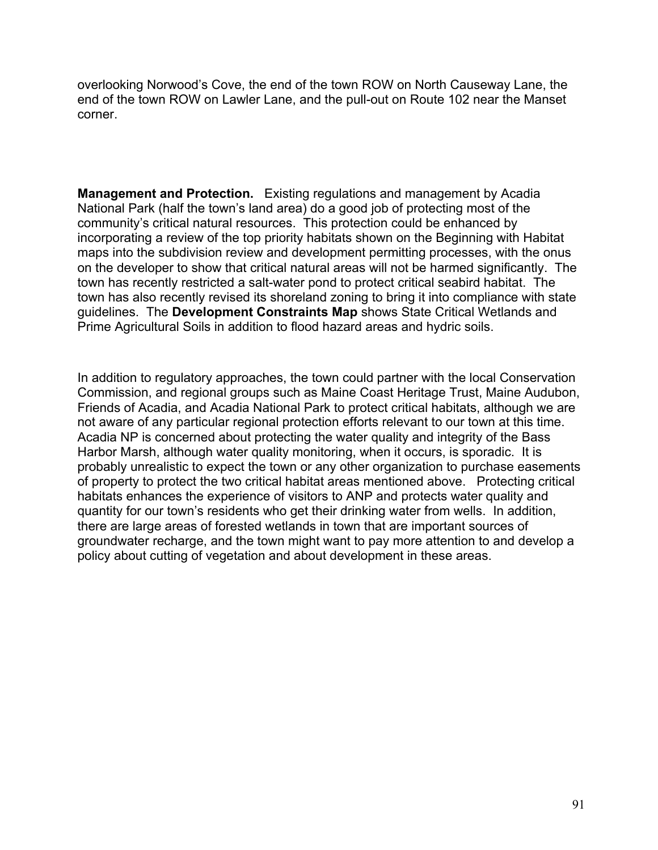overlooking Norwood's Cove, the end of the town ROW on North Causeway Lane, the end of the town ROW on Lawler Lane, and the pull-out on Route 102 near the Manset corner.

**Management and Protection.** Existing regulations and management by Acadia National Park (half the town's land area) do a good job of protecting most of the community's critical natural resources. This protection could be enhanced by incorporating a review of the top priority habitats shown on the Beginning with Habitat maps into the subdivision review and development permitting processes, with the onus on the developer to show that critical natural areas will not be harmed significantly. The town has recently restricted a salt-water pond to protect critical seabird habitat. The town has also recently revised its shoreland zoning to bring it into compliance with state guidelines. The **Development Constraints Map** shows State Critical Wetlands and Prime Agricultural Soils in addition to flood hazard areas and hydric soils.

In addition to regulatory approaches, the town could partner with the local Conservation Commission, and regional groups such as Maine Coast Heritage Trust, Maine Audubon, Friends of Acadia, and Acadia National Park to protect critical habitats, although we are not aware of any particular regional protection efforts relevant to our town at this time. Acadia NP is concerned about protecting the water quality and integrity of the Bass Harbor Marsh, although water quality monitoring, when it occurs, is sporadic. It is probably unrealistic to expect the town or any other organization to purchase easements of property to protect the two critical habitat areas mentioned above. Protecting critical habitats enhances the experience of visitors to ANP and protects water quality and quantity for our town's residents who get their drinking water from wells. In addition, there are large areas of forested wetlands in town that are important sources of groundwater recharge, and the town might want to pay more attention to and develop a policy about cutting of vegetation and about development in these areas.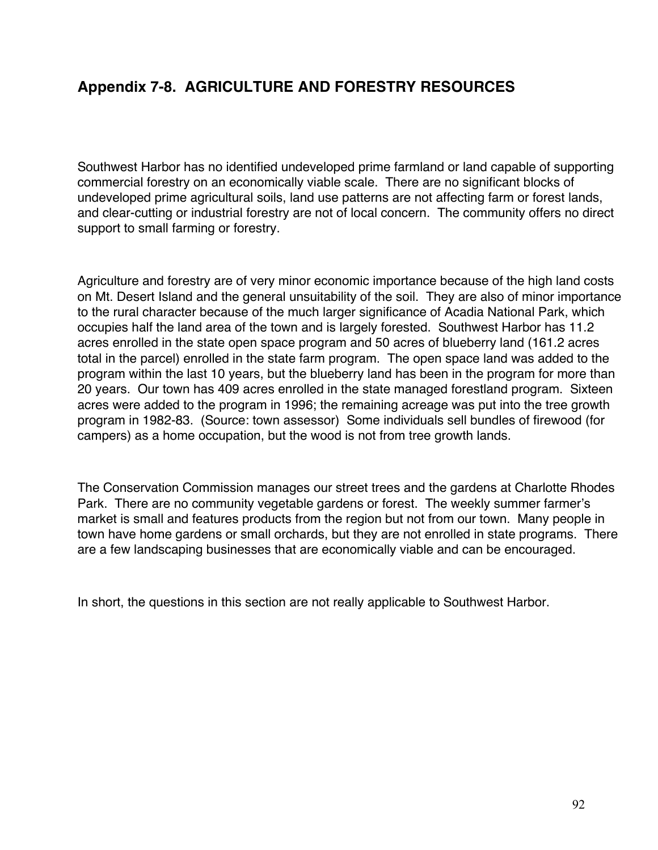## **Appendix 7-8. AGRICULTURE AND FORESTRY RESOURCES**

Southwest Harbor has no identified undeveloped prime farmland or land capable of supporting commercial forestry on an economically viable scale. There are no significant blocks of undeveloped prime agricultural soils, land use patterns are not affecting farm or forest lands, and clear-cutting or industrial forestry are not of local concern. The community offers no direct support to small farming or forestry.

Agriculture and forestry are of very minor economic importance because of the high land costs on Mt. Desert Island and the general unsuitability of the soil. They are also of minor importance to the rural character because of the much larger significance of Acadia National Park, which occupies half the land area of the town and is largely forested. Southwest Harbor has 11.2 acres enrolled in the state open space program and 50 acres of blueberry land (161.2 acres total in the parcel) enrolled in the state farm program. The open space land was added to the program within the last 10 years, but the blueberry land has been in the program for more than 20 years. Our town has 409 acres enrolled in the state managed forestland program. Sixteen acres were added to the program in 1996; the remaining acreage was put into the tree growth program in 1982-83. (Source: town assessor) Some individuals sell bundles of firewood (for campers) as a home occupation, but the wood is not from tree growth lands.

The Conservation Commission manages our street trees and the gardens at Charlotte Rhodes Park. There are no community vegetable gardens or forest. The weekly summer farmer's market is small and features products from the region but not from our town. Many people in town have home gardens or small orchards, but they are not enrolled in state programs. There are a few landscaping businesses that are economically viable and can be encouraged.

In short, the questions in this section are not really applicable to Southwest Harbor.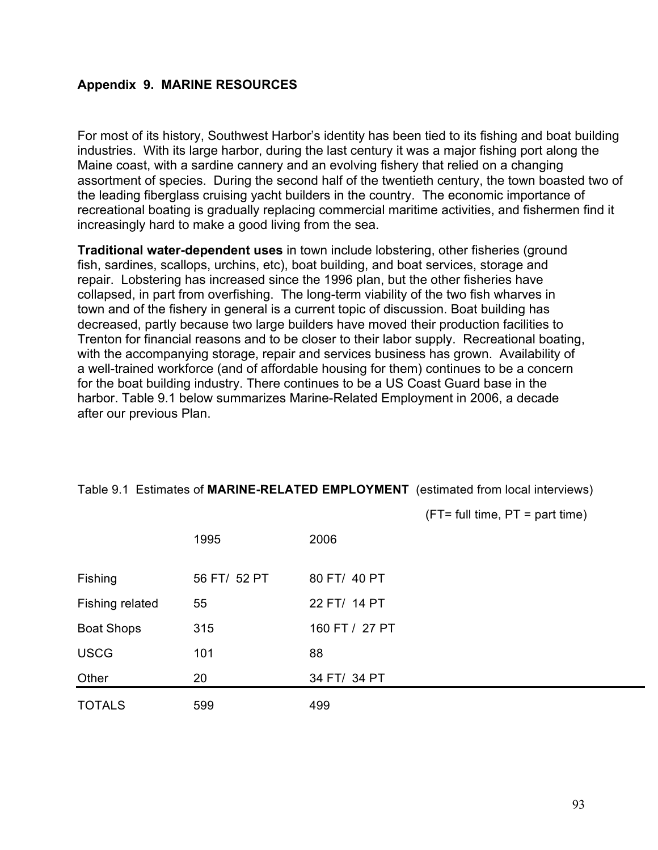## **Appendix 9. MARINE RESOURCES**

For most of its history, Southwest Harbor's identity has been tied to its fishing and boat building industries. With its large harbor, during the last century it was a major fishing port along the Maine coast, with a sardine cannery and an evolving fishery that relied on a changing assortment of species. During the second half of the twentieth century, the town boasted two of the leading fiberglass cruising yacht builders in the country. The economic importance of recreational boating is gradually replacing commercial maritime activities, and fishermen find it increasingly hard to make a good living from the sea.

**Traditional water-dependent uses** in town include lobstering, other fisheries (ground fish, sardines, scallops, urchins, etc), boat building, and boat services, storage and repair. Lobstering has increased since the 1996 plan, but the other fisheries have collapsed, in part from overfishing. The long-term viability of the two fish wharves in town and of the fishery in general is a current topic of discussion. Boat building has decreased, partly because two large builders have moved their production facilities to Trenton for financial reasons and to be closer to their labor supply. Recreational boating, with the accompanying storage, repair and services business has grown. Availability of a well-trained workforce (and of affordable housing for them) continues to be a concern for the boat building industry. There continues to be a US Coast Guard base in the harbor. Table 9.1 below summarizes Marine-Related Employment in 2006, a decade after our previous Plan.

Table 9.1 Estimates of **MARINE-RELATED EMPLOYMENT** (estimated from local interviews)

 $(FT= full time, PT = part time)$ 

|                   | 1995         | 2006           |
|-------------------|--------------|----------------|
| Fishing           | 56 FT/ 52 PT | 80 FT/ 40 PT   |
| Fishing related   | 55           | 22 FT/ 14 PT   |
| <b>Boat Shops</b> | 315          | 160 FT / 27 PT |
| <b>USCG</b>       | 101          | 88             |
| Other             | 20           | 34 FT/ 34 PT   |
| <b>TOTALS</b>     | 599          | 499            |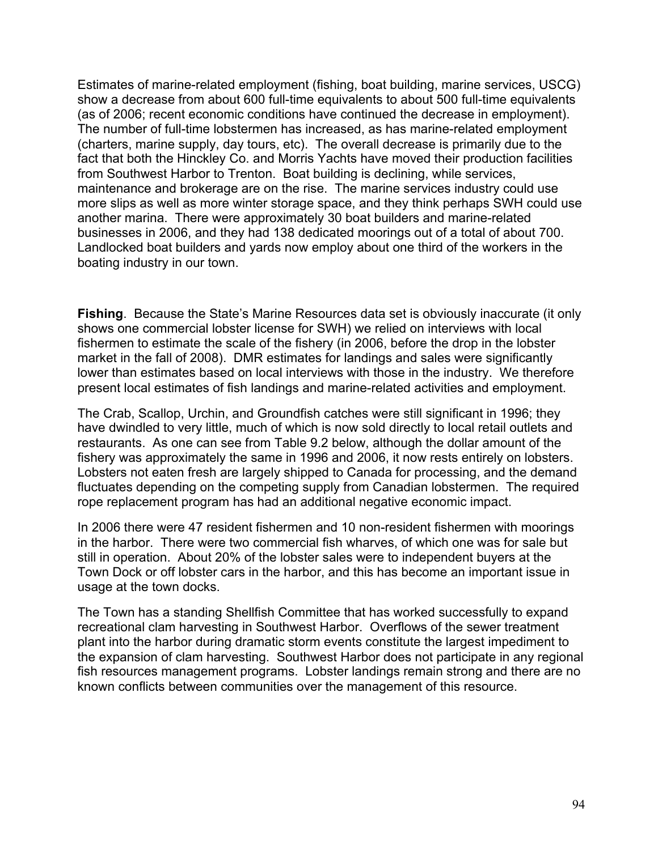Estimates of marine-related employment (fishing, boat building, marine services, USCG) show a decrease from about 600 full-time equivalents to about 500 full-time equivalents (as of 2006; recent economic conditions have continued the decrease in employment). The number of full-time lobstermen has increased, as has marine-related employment (charters, marine supply, day tours, etc). The overall decrease is primarily due to the fact that both the Hinckley Co. and Morris Yachts have moved their production facilities from Southwest Harbor to Trenton. Boat building is declining, while services, maintenance and brokerage are on the rise. The marine services industry could use more slips as well as more winter storage space, and they think perhaps SWH could use another marina. There were approximately 30 boat builders and marine-related businesses in 2006, and they had 138 dedicated moorings out of a total of about 700. Landlocked boat builders and yards now employ about one third of the workers in the boating industry in our town.

**Fishing**. Because the State's Marine Resources data set is obviously inaccurate (it only shows one commercial lobster license for SWH) we relied on interviews with local fishermen to estimate the scale of the fishery (in 2006, before the drop in the lobster market in the fall of 2008). DMR estimates for landings and sales were significantly lower than estimates based on local interviews with those in the industry. We therefore present local estimates of fish landings and marine-related activities and employment.

The Crab, Scallop, Urchin, and Groundfish catches were still significant in 1996; they have dwindled to very little, much of which is now sold directly to local retail outlets and restaurants. As one can see from Table 9.2 below, although the dollar amount of the fishery was approximately the same in 1996 and 2006, it now rests entirely on lobsters. Lobsters not eaten fresh are largely shipped to Canada for processing, and the demand fluctuates depending on the competing supply from Canadian lobstermen. The required rope replacement program has had an additional negative economic impact.

In 2006 there were 47 resident fishermen and 10 non-resident fishermen with moorings in the harbor. There were two commercial fish wharves, of which one was for sale but still in operation. About 20% of the lobster sales were to independent buyers at the Town Dock or off lobster cars in the harbor, and this has become an important issue in usage at the town docks.

The Town has a standing Shellfish Committee that has worked successfully to expand recreational clam harvesting in Southwest Harbor. Overflows of the sewer treatment plant into the harbor during dramatic storm events constitute the largest impediment to the expansion of clam harvesting. Southwest Harbor does not participate in any regional fish resources management programs. Lobster landings remain strong and there are no known conflicts between communities over the management of this resource.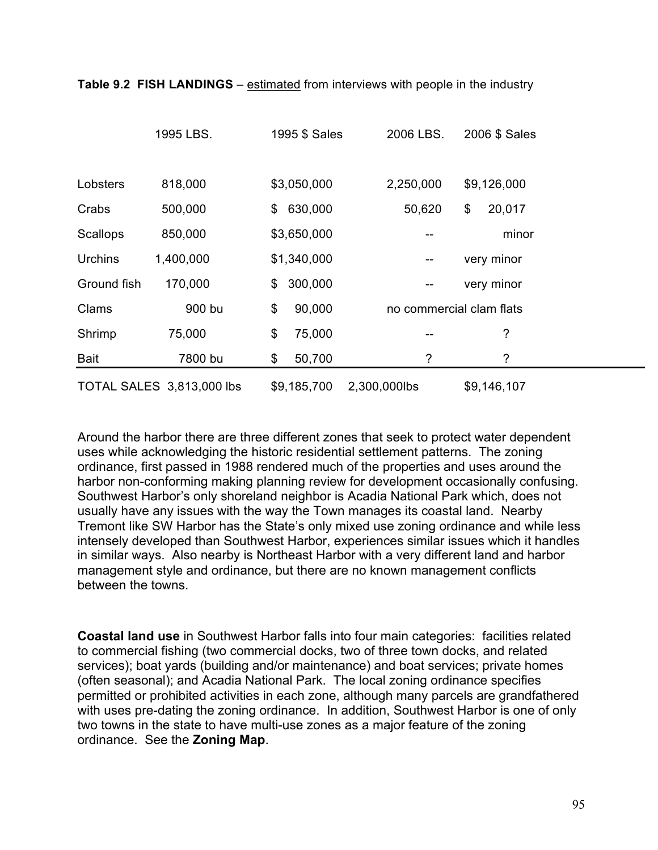|             | 1995 LBS.                 | 1995 \$ Sales | 2006 LBS.                | 2006 \$ Sales |
|-------------|---------------------------|---------------|--------------------------|---------------|
|             |                           |               |                          |               |
| Lobsters    | 818,000                   | \$3,050,000   | 2,250,000                | \$9,126,000   |
| Crabs       | 500,000                   | 630,000<br>\$ | 50,620                   | \$<br>20,017  |
| Scallops    | 850,000                   | \$3,650,000   |                          | minor         |
| Urchins     | 1,400,000                 | \$1,340,000   | --                       | very minor    |
| Ground fish | 170,000                   | 300,000<br>\$ | --                       | very minor    |
| Clams       | 900 bu                    | \$<br>90,000  | no commercial clam flats |               |
| Shrimp      | 75,000                    | \$<br>75,000  | --                       | ?             |
| <b>Bait</b> | 7800 bu                   | \$<br>50,700  | ?                        | ?             |
|             | TOTAL SALES 3,813,000 lbs | \$9,185,700   | 2,300,000lbs             | \$9,146,107   |

**Table 9.2 FISH LANDINGS** – estimated from interviews with people in the industry

Around the harbor there are three different zones that seek to protect water dependent uses while acknowledging the historic residential settlement patterns. The zoning ordinance, first passed in 1988 rendered much of the properties and uses around the harbor non-conforming making planning review for development occasionally confusing. Southwest Harbor's only shoreland neighbor is Acadia National Park which, does not usually have any issues with the way the Town manages its coastal land. Nearby Tremont like SW Harbor has the State's only mixed use zoning ordinance and while less intensely developed than Southwest Harbor, experiences similar issues which it handles in similar ways. Also nearby is Northeast Harbor with a very different land and harbor management style and ordinance, but there are no known management conflicts between the towns.

**Coastal land use** in Southwest Harbor falls into four main categories: facilities related to commercial fishing (two commercial docks, two of three town docks, and related services); boat yards (building and/or maintenance) and boat services; private homes (often seasonal); and Acadia National Park. The local zoning ordinance specifies permitted or prohibited activities in each zone, although many parcels are grandfathered with uses pre-dating the zoning ordinance. In addition, Southwest Harbor is one of only two towns in the state to have multi-use zones as a major feature of the zoning ordinance. See the **Zoning Map**.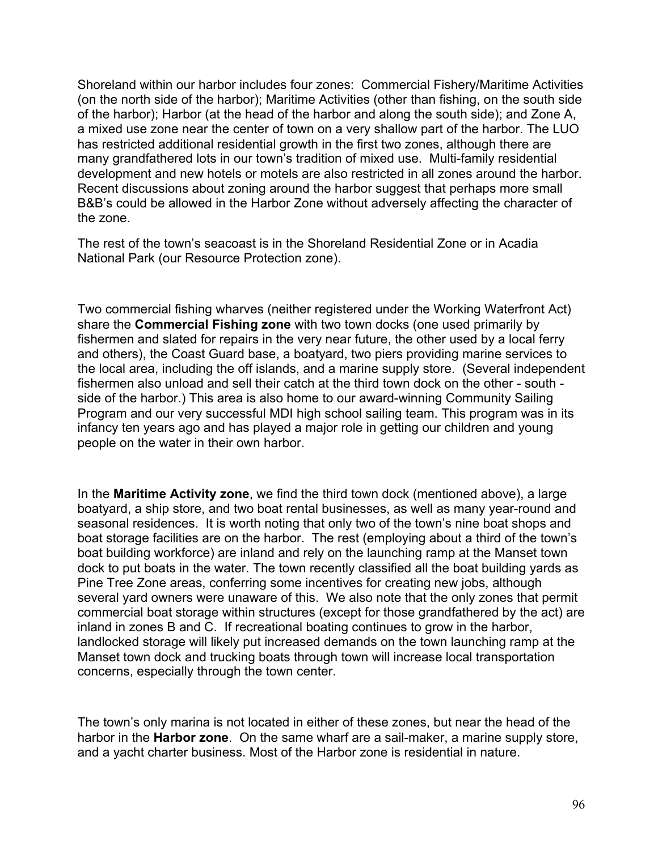Shoreland within our harbor includes four zones: Commercial Fishery/Maritime Activities (on the north side of the harbor); Maritime Activities (other than fishing, on the south side of the harbor); Harbor (at the head of the harbor and along the south side); and Zone A, a mixed use zone near the center of town on a very shallow part of the harbor. The LUO has restricted additional residential growth in the first two zones, although there are many grandfathered lots in our town's tradition of mixed use. Multi-family residential development and new hotels or motels are also restricted in all zones around the harbor. Recent discussions about zoning around the harbor suggest that perhaps more small B&B's could be allowed in the Harbor Zone without adversely affecting the character of the zone.

The rest of the town's seacoast is in the Shoreland Residential Zone or in Acadia National Park (our Resource Protection zone).

Two commercial fishing wharves (neither registered under the Working Waterfront Act) share the **Commercial Fishing zone** with two town docks (one used primarily by fishermen and slated for repairs in the very near future, the other used by a local ferry and others), the Coast Guard base, a boatyard, two piers providing marine services to the local area, including the off islands, and a marine supply store. (Several independent fishermen also unload and sell their catch at the third town dock on the other - south side of the harbor.) This area is also home to our award-winning Community Sailing Program and our very successful MDI high school sailing team. This program was in its infancy ten years ago and has played a major role in getting our children and young people on the water in their own harbor.

In the **Maritime Activity zone**, we find the third town dock (mentioned above), a large boatyard, a ship store, and two boat rental businesses, as well as many year-round and seasonal residences. It is worth noting that only two of the town's nine boat shops and boat storage facilities are on the harbor. The rest (employing about a third of the town's boat building workforce) are inland and rely on the launching ramp at the Manset town dock to put boats in the water. The town recently classified all the boat building yards as Pine Tree Zone areas, conferring some incentives for creating new jobs, although several yard owners were unaware of this. We also note that the only zones that permit commercial boat storage within structures (except for those grandfathered by the act) are inland in zones B and C. If recreational boating continues to grow in the harbor, landlocked storage will likely put increased demands on the town launching ramp at the Manset town dock and trucking boats through town will increase local transportation concerns, especially through the town center.

The town's only marina is not located in either of these zones, but near the head of the harbor in the **Harbor zone**. On the same wharf are a sail-maker, a marine supply store, and a yacht charter business. Most of the Harbor zone is residential in nature.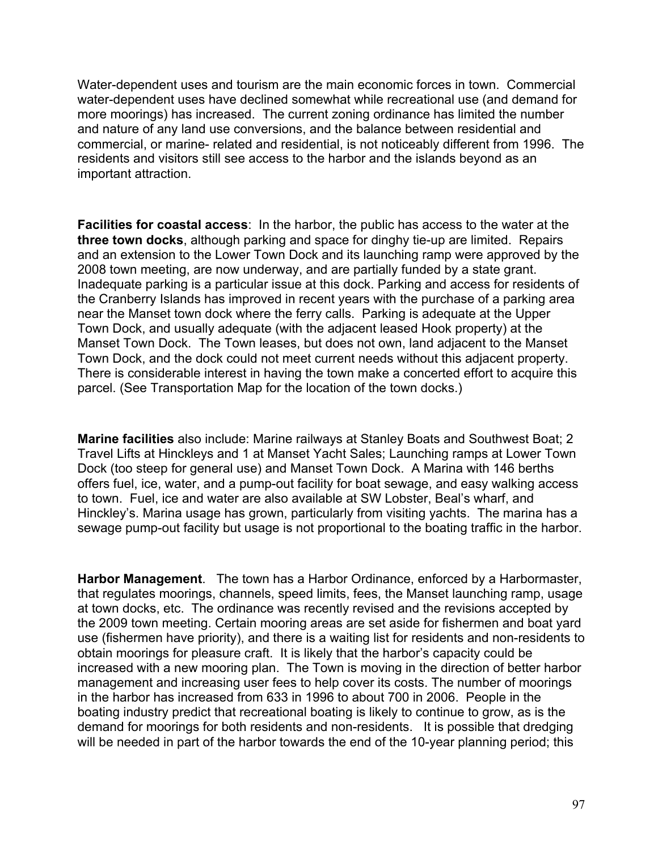Water-dependent uses and tourism are the main economic forces in town. Commercial water-dependent uses have declined somewhat while recreational use (and demand for more moorings) has increased. The current zoning ordinance has limited the number and nature of any land use conversions, and the balance between residential and commercial, or marine- related and residential, is not noticeably different from 1996. The residents and visitors still see access to the harbor and the islands beyond as an important attraction.

**Facilities for coastal access**: In the harbor, the public has access to the water at the **three town docks**, although parking and space for dinghy tie-up are limited. Repairs and an extension to the Lower Town Dock and its launching ramp were approved by the 2008 town meeting, are now underway, and are partially funded by a state grant. Inadequate parking is a particular issue at this dock. Parking and access for residents of the Cranberry Islands has improved in recent years with the purchase of a parking area near the Manset town dock where the ferry calls. Parking is adequate at the Upper Town Dock, and usually adequate (with the adjacent leased Hook property) at the Manset Town Dock. The Town leases, but does not own, land adjacent to the Manset Town Dock, and the dock could not meet current needs without this adjacent property. There is considerable interest in having the town make a concerted effort to acquire this parcel. (See Transportation Map for the location of the town docks.)

**Marine facilities** also include: Marine railways at Stanley Boats and Southwest Boat; 2 Travel Lifts at Hinckleys and 1 at Manset Yacht Sales; Launching ramps at Lower Town Dock (too steep for general use) and Manset Town Dock. A Marina with 146 berths offers fuel, ice, water, and a pump-out facility for boat sewage, and easy walking access to town. Fuel, ice and water are also available at SW Lobster, Beal's wharf, and Hinckley's. Marina usage has grown, particularly from visiting yachts. The marina has a sewage pump-out facility but usage is not proportional to the boating traffic in the harbor.

**Harbor Management**. The town has a Harbor Ordinance, enforced by a Harbormaster, that regulates moorings, channels, speed limits, fees, the Manset launching ramp, usage at town docks, etc. The ordinance was recently revised and the revisions accepted by the 2009 town meeting. Certain mooring areas are set aside for fishermen and boat yard use (fishermen have priority), and there is a waiting list for residents and non-residents to obtain moorings for pleasure craft. It is likely that the harbor's capacity could be increased with a new mooring plan. The Town is moving in the direction of better harbor management and increasing user fees to help cover its costs. The number of moorings in the harbor has increased from 633 in 1996 to about 700 in 2006. People in the boating industry predict that recreational boating is likely to continue to grow, as is the demand for moorings for both residents and non-residents. It is possible that dredging will be needed in part of the harbor towards the end of the 10-year planning period; this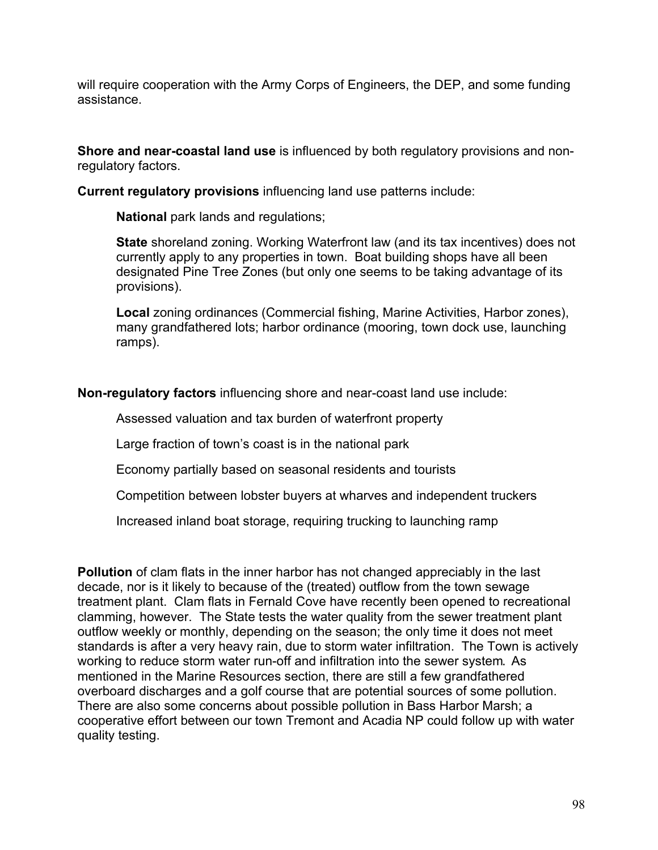will require cooperation with the Army Corps of Engineers, the DEP, and some funding assistance.

**Shore and near-coastal land use** is influenced by both regulatory provisions and nonregulatory factors.

**Current regulatory provisions** influencing land use patterns include:

**National** park lands and regulations;

**State** shoreland zoning. Working Waterfront law (and its tax incentives) does not currently apply to any properties in town. Boat building shops have all been designated Pine Tree Zones (but only one seems to be taking advantage of its provisions).

**Local** zoning ordinances (Commercial fishing, Marine Activities, Harbor zones), many grandfathered lots; harbor ordinance (mooring, town dock use, launching ramps).

**Non-regulatory factors** influencing shore and near-coast land use include:

Assessed valuation and tax burden of waterfront property

Large fraction of town's coast is in the national park

Economy partially based on seasonal residents and tourists

Competition between lobster buyers at wharves and independent truckers

Increased inland boat storage, requiring trucking to launching ramp

**Pollution** of clam flats in the inner harbor has not changed appreciably in the last decade, nor is it likely to because of the (treated) outflow from the town sewage treatment plant. Clam flats in Fernald Cove have recently been opened to recreational clamming, however. The State tests the water quality from the sewer treatment plant outflow weekly or monthly, depending on the season; the only time it does not meet standards is after a very heavy rain, due to storm water infiltration. The Town is actively working to reduce storm water run-off and infiltration into the sewer system. As mentioned in the Marine Resources section, there are still a few grandfathered overboard discharges and a golf course that are potential sources of some pollution. There are also some concerns about possible pollution in Bass Harbor Marsh; a cooperative effort between our town Tremont and Acadia NP could follow up with water quality testing.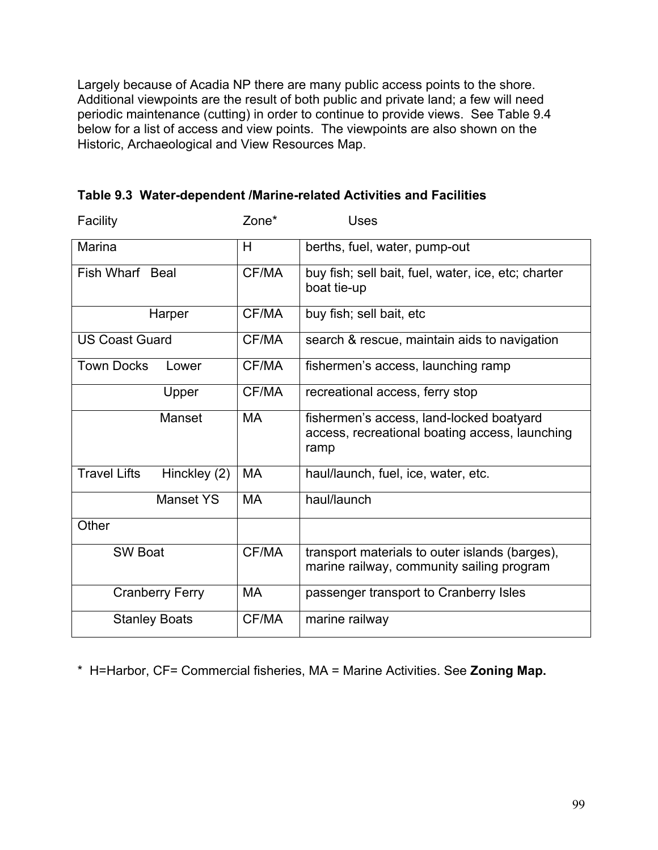Largely because of Acadia NP there are many public access points to the shore. Additional viewpoints are the result of both public and private land; a few will need periodic maintenance (cutting) in order to continue to provide views. See Table 9.4 below for a list of access and view points. The viewpoints are also shown on the Historic, Archaeological and View Resources Map.

| Facility                            | Zone*     | Uses                                                                                               |  |  |
|-------------------------------------|-----------|----------------------------------------------------------------------------------------------------|--|--|
| Marina                              | н         | berths, fuel, water, pump-out                                                                      |  |  |
| Fish Wharf Beal                     | CF/MA     | buy fish; sell bait, fuel, water, ice, etc; charter<br>boat tie-up                                 |  |  |
| Harper                              | CF/MA     | buy fish; sell bait, etc                                                                           |  |  |
| <b>US Coast Guard</b>               | CF/MA     | search & rescue, maintain aids to navigation                                                       |  |  |
| <b>Town Docks</b><br>Lower          | CF/MA     | fishermen's access, launching ramp                                                                 |  |  |
| Upper                               | CF/MA     | recreational access, ferry stop                                                                    |  |  |
| Manset                              | MA        | fishermen's access, land-locked boatyard<br>access, recreational boating access, launching<br>ramp |  |  |
| <b>Travel Lifts</b><br>Hinckley (2) | MA        | haul/launch, fuel, ice, water, etc.                                                                |  |  |
| <b>Manset YS</b>                    | <b>MA</b> | haul/launch                                                                                        |  |  |
| Other                               |           |                                                                                                    |  |  |
| <b>SW Boat</b>                      | CF/MA     | transport materials to outer islands (barges),<br>marine railway, community sailing program        |  |  |
| <b>Cranberry Ferry</b>              | МA        | passenger transport to Cranberry Isles                                                             |  |  |
| <b>Stanley Boats</b>                | CF/MA     | marine railway                                                                                     |  |  |

**Table 9.3 Water-dependent /Marine-related Activities and Facilities**

\* H=Harbor, CF= Commercial fisheries, MA = Marine Activities. See **Zoning Map.**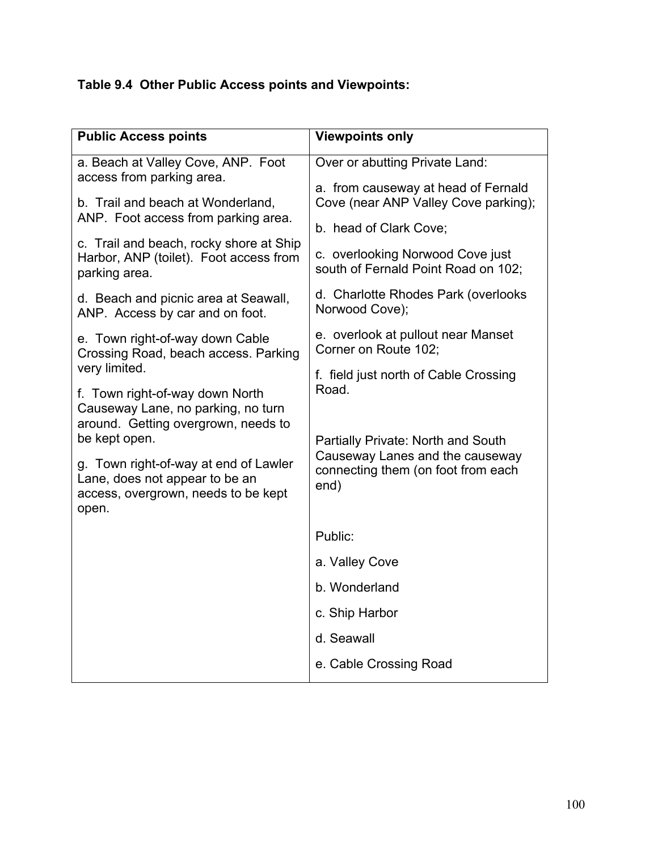# **Table 9.4 Other Public Access points and Viewpoints:**

| <b>Public Access points</b>                                                                                             | <b>Viewpoints only</b>                                                  |  |  |
|-------------------------------------------------------------------------------------------------------------------------|-------------------------------------------------------------------------|--|--|
| a. Beach at Valley Cove, ANP. Foot<br>access from parking area.                                                         | Over or abutting Private Land:<br>a. from causeway at head of Fernald   |  |  |
| b. Trail and beach at Wonderland,<br>ANP. Foot access from parking area.                                                | Cove (near ANP Valley Cove parking);                                    |  |  |
| c. Trail and beach, rocky shore at Ship                                                                                 | b. head of Clark Cove;                                                  |  |  |
| Harbor, ANP (toilet). Foot access from<br>parking area.                                                                 | c. overlooking Norwood Cove just<br>south of Fernald Point Road on 102; |  |  |
| d. Beach and picnic area at Seawall,<br>ANP. Access by car and on foot.                                                 | d. Charlotte Rhodes Park (overlooks<br>Norwood Cove);                   |  |  |
| e. Town right-of-way down Cable<br>Crossing Road, beach access. Parking                                                 | e. overlook at pullout near Manset<br>Corner on Route 102:              |  |  |
| very limited.                                                                                                           | f. field just north of Cable Crossing                                   |  |  |
| f. Town right-of-way down North<br>Causeway Lane, no parking, no turn<br>around. Getting overgrown, needs to            | Road.                                                                   |  |  |
| be kept open.                                                                                                           | Partially Private: North and South<br>Causeway Lanes and the causeway   |  |  |
| g. Town right-of-way at end of Lawler<br>Lane, does not appear to be an<br>access, overgrown, needs to be kept<br>open. | connecting them (on foot from each<br>end)                              |  |  |
|                                                                                                                         | Public:                                                                 |  |  |
|                                                                                                                         | a. Valley Cove                                                          |  |  |
|                                                                                                                         | b. Wonderland                                                           |  |  |
|                                                                                                                         |                                                                         |  |  |
|                                                                                                                         | c. Ship Harbor                                                          |  |  |
|                                                                                                                         | d. Seawall                                                              |  |  |
|                                                                                                                         | e. Cable Crossing Road                                                  |  |  |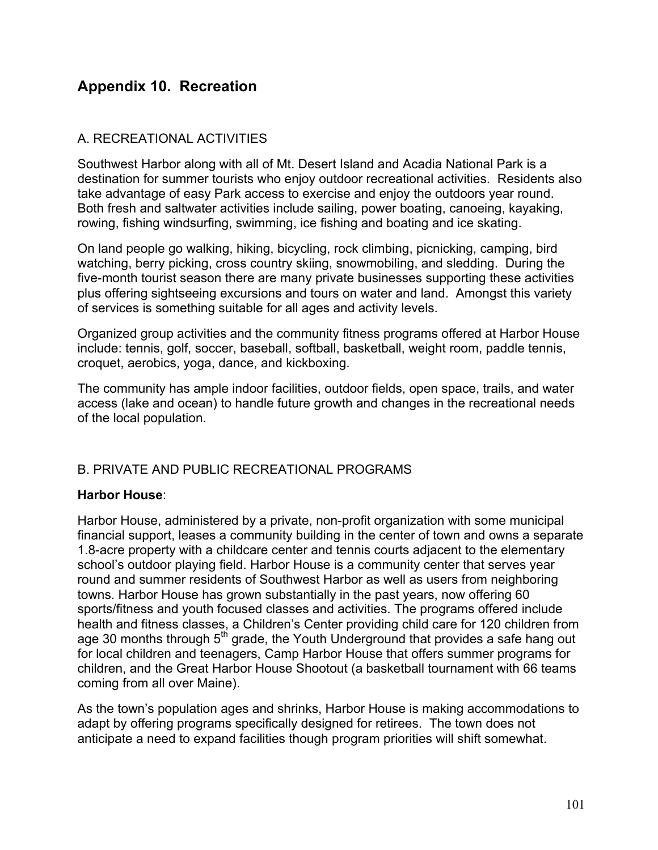## **Appendix 10. Recreation**

#### A. RECREATIONAL ACTIVITIES

Southwest Harbor along with all of Mt. Desert Island and Acadia National Park is a destination for summer tourists who enjoy outdoor recreational activities. Residents also take advantage of easy Park access to exercise and enjoy the outdoors year round. Both fresh and saltwater activities include sailing, power boating, canoeing, kayaking, rowing, fishing windsurfing, swimming, ice fishing and boating and ice skating.

On land people go walking, hiking, bicycling, rock climbing, picnicking, camping, bird watching, berry picking, cross country skiing, snowmobiling, and sledding. During the five-month tourist season there are many private businesses supporting these activities plus offering sightseeing excursions and tours on water and land. Amongst this variety of services is something suitable for all ages and activity levels.

Organized group activities and the community fitness programs offered at Harbor House include: tennis, golf, soccer, baseball, softball, basketball, weight room, paddle tennis, croquet, aerobics, yoga, dance, and kickboxing.

The community has ample indoor facilities, outdoor fields, open space, trails, and water access (lake and ocean) to handle future growth and changes in the recreational needs of the local population.

#### B. PRIVATE AND PUBLIC RECREATIONAL PROGRAMS

#### **Harbor House**:

Harbor House, administered by a private, non-profit organization with some municipal financial support, leases a community building in the center of town and owns a separate 1.8-acre property with a childcare center and tennis courts adjacent to the elementary school's outdoor playing field. Harbor House is a community center that serves year round and summer residents of Southwest Harbor as well as users from neighboring towns. Harbor House has grown substantially in the past years, now offering 60 sports/fitness and youth focused classes and activities. The programs offered include health and fitness classes, a Children's Center providing child care for 120 children from age 30 months through  $5<sup>th</sup>$  grade, the Youth Underground that provides a safe hang out for local children and teenagers, Camp Harbor House that offers summer programs for children, and the Great Harbor House Shootout (a basketball tournament with 66 teams coming from all over Maine).

As the town's population ages and shrinks, Harbor House is making accommodations to adapt by offering programs specifically designed for retirees. The town does not anticipate a need to expand facilities though program priorities will shift somewhat.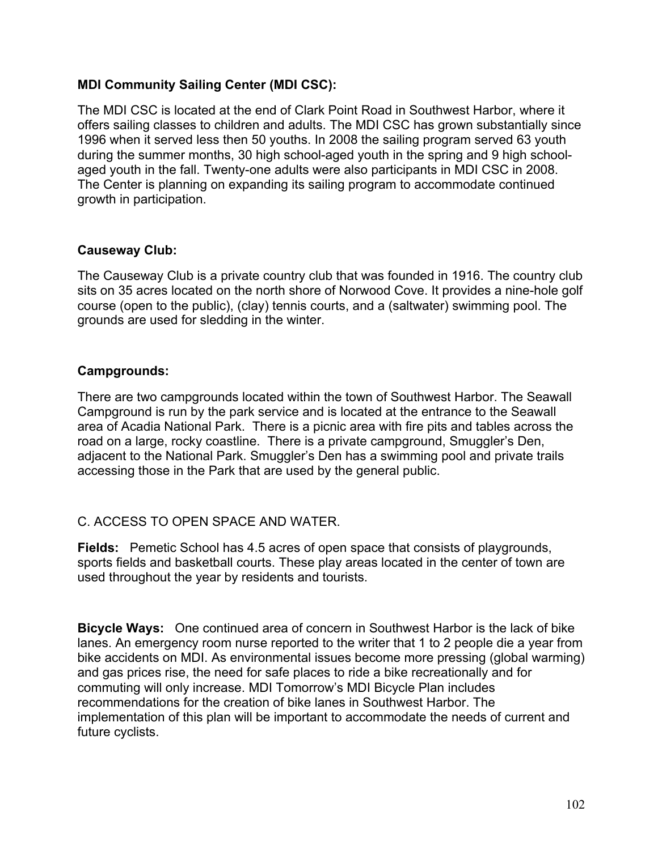## **MDI Community Sailing Center (MDI CSC):**

The MDI CSC is located at the end of Clark Point Road in Southwest Harbor, where it offers sailing classes to children and adults. The MDI CSC has grown substantially since 1996 when it served less then 50 youths. In 2008 the sailing program served 63 youth during the summer months, 30 high school-aged youth in the spring and 9 high schoolaged youth in the fall. Twenty-one adults were also participants in MDI CSC in 2008. The Center is planning on expanding its sailing program to accommodate continued growth in participation.

#### **Causeway Club:**

The Causeway Club is a private country club that was founded in 1916. The country club sits on 35 acres located on the north shore of Norwood Cove. It provides a nine-hole golf course (open to the public), (clay) tennis courts, and a (saltwater) swimming pool. The grounds are used for sledding in the winter.

#### **Campgrounds:**

There are two campgrounds located within the town of Southwest Harbor. The Seawall Campground is run by the park service and is located at the entrance to the Seawall area of Acadia National Park. There is a picnic area with fire pits and tables across the road on a large, rocky coastline. There is a private campground, Smuggler's Den, adjacent to the National Park. Smuggler's Den has a swimming pool and private trails accessing those in the Park that are used by the general public.

## C. ACCESS TO OPEN SPACE AND WATER.

**Fields:** Pemetic School has 4.5 acres of open space that consists of playgrounds, sports fields and basketball courts. These play areas located in the center of town are used throughout the year by residents and tourists.

**Bicycle Ways:** One continued area of concern in Southwest Harbor is the lack of bike lanes. An emergency room nurse reported to the writer that 1 to 2 people die a year from bike accidents on MDI. As environmental issues become more pressing (global warming) and gas prices rise, the need for safe places to ride a bike recreationally and for commuting will only increase. MDI Tomorrow's MDI Bicycle Plan includes recommendations for the creation of bike lanes in Southwest Harbor. The implementation of this plan will be important to accommodate the needs of current and future cyclists.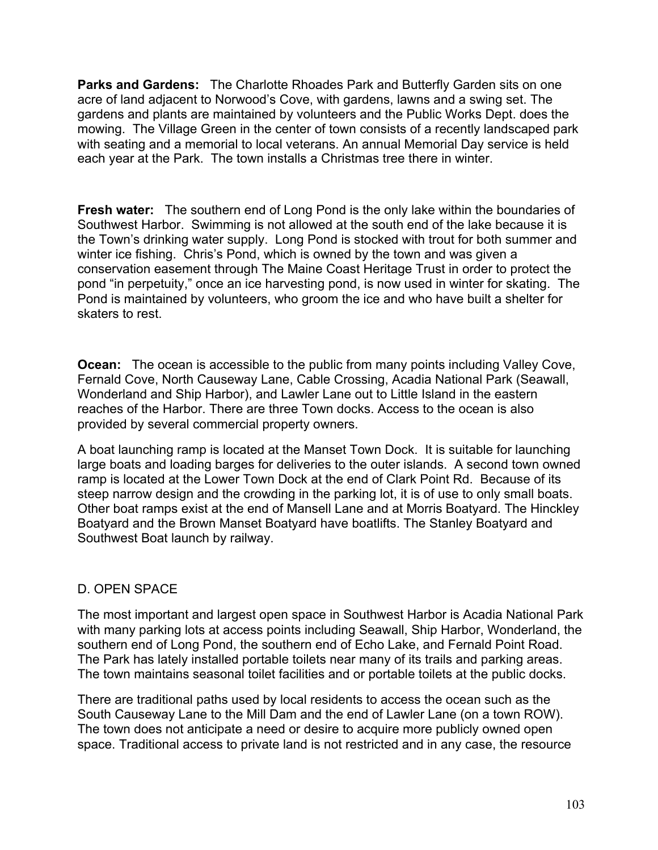**Parks and Gardens:** The Charlotte Rhoades Park and Butterfly Garden sits on one acre of land adjacent to Norwood's Cove, with gardens, lawns and a swing set. The gardens and plants are maintained by volunteers and the Public Works Dept. does the mowing. The Village Green in the center of town consists of a recently landscaped park with seating and a memorial to local veterans. An annual Memorial Day service is held each year at the Park. The town installs a Christmas tree there in winter.

**Fresh water:** The southern end of Long Pond is the only lake within the boundaries of Southwest Harbor. Swimming is not allowed at the south end of the lake because it is the Town's drinking water supply. Long Pond is stocked with trout for both summer and winter ice fishing. Chris's Pond, which is owned by the town and was given a conservation easement through The Maine Coast Heritage Trust in order to protect the pond "in perpetuity," once an ice harvesting pond, is now used in winter for skating. The Pond is maintained by volunteers, who groom the ice and who have built a shelter for skaters to rest.

**Ocean:** The ocean is accessible to the public from many points including Valley Cove, Fernald Cove, North Causeway Lane, Cable Crossing, Acadia National Park (Seawall, Wonderland and Ship Harbor), and Lawler Lane out to Little Island in the eastern reaches of the Harbor. There are three Town docks. Access to the ocean is also provided by several commercial property owners.

A boat launching ramp is located at the Manset Town Dock. It is suitable for launching large boats and loading barges for deliveries to the outer islands. A second town owned ramp is located at the Lower Town Dock at the end of Clark Point Rd. Because of its steep narrow design and the crowding in the parking lot, it is of use to only small boats. Other boat ramps exist at the end of Mansell Lane and at Morris Boatyard. The Hinckley Boatyard and the Brown Manset Boatyard have boatlifts. The Stanley Boatyard and Southwest Boat launch by railway.

## D. OPEN SPACE

The most important and largest open space in Southwest Harbor is Acadia National Park with many parking lots at access points including Seawall, Ship Harbor, Wonderland, the southern end of Long Pond, the southern end of Echo Lake, and Fernald Point Road. The Park has lately installed portable toilets near many of its trails and parking areas. The town maintains seasonal toilet facilities and or portable toilets at the public docks.

There are traditional paths used by local residents to access the ocean such as the South Causeway Lane to the Mill Dam and the end of Lawler Lane (on a town ROW). The town does not anticipate a need or desire to acquire more publicly owned open space. Traditional access to private land is not restricted and in any case, the resource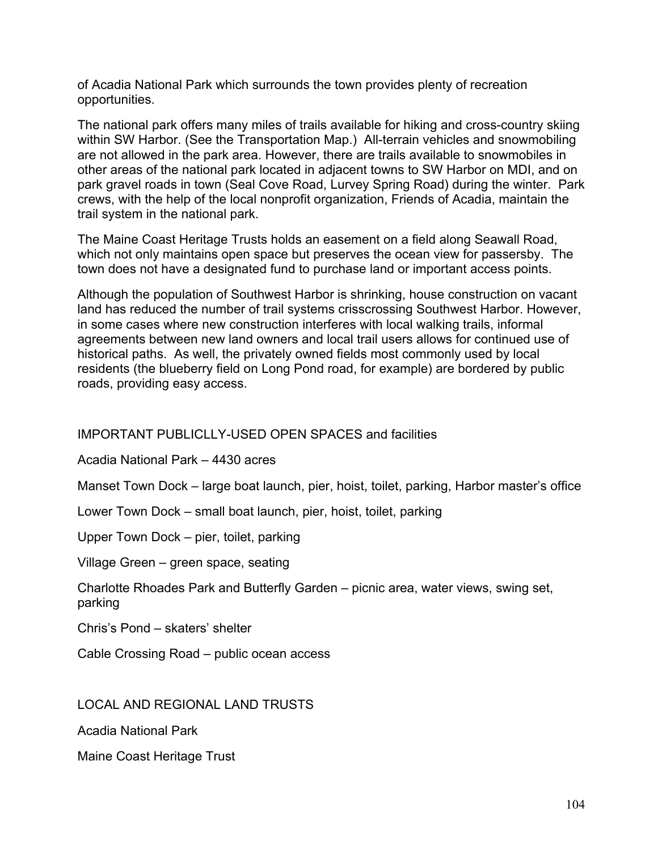of Acadia National Park which surrounds the town provides plenty of recreation opportunities.

The national park offers many miles of trails available for hiking and cross-country skiing within SW Harbor. (See the Transportation Map.) All-terrain vehicles and snowmobiling are not allowed in the park area. However, there are trails available to snowmobiles in other areas of the national park located in adjacent towns to SW Harbor on MDI, and on park gravel roads in town (Seal Cove Road, Lurvey Spring Road) during the winter. Park crews, with the help of the local nonprofit organization, Friends of Acadia, maintain the trail system in the national park.

The Maine Coast Heritage Trusts holds an easement on a field along Seawall Road, which not only maintains open space but preserves the ocean view for passersby. The town does not have a designated fund to purchase land or important access points.

Although the population of Southwest Harbor is shrinking, house construction on vacant land has reduced the number of trail systems crisscrossing Southwest Harbor. However, in some cases where new construction interferes with local walking trails, informal agreements between new land owners and local trail users allows for continued use of historical paths. As well, the privately owned fields most commonly used by local residents (the blueberry field on Long Pond road, for example) are bordered by public roads, providing easy access.

IMPORTANT PUBLICLLY-USED OPEN SPACES and facilities

Acadia National Park – 4430 acres

Manset Town Dock – large boat launch, pier, hoist, toilet, parking, Harbor master's office

Lower Town Dock – small boat launch, pier, hoist, toilet, parking

Upper Town Dock – pier, toilet, parking

Village Green – green space, seating

Charlotte Rhoades Park and Butterfly Garden – picnic area, water views, swing set, parking

Chris's Pond – skaters' shelter

Cable Crossing Road – public ocean access

LOCAL AND REGIONAL LAND TRUSTS

Acadia National Park

Maine Coast Heritage Trust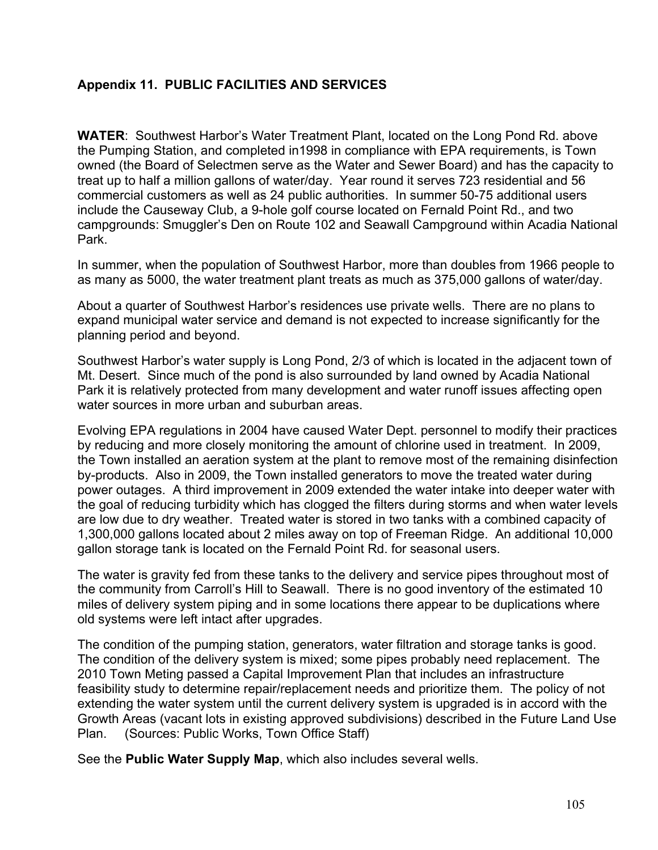## **Appendix 11. PUBLIC FACILITIES AND SERVICES**

**WATER**: Southwest Harbor's Water Treatment Plant, located on the Long Pond Rd. above the Pumping Station, and completed in1998 in compliance with EPA requirements, is Town owned (the Board of Selectmen serve as the Water and Sewer Board) and has the capacity to treat up to half a million gallons of water/day. Year round it serves 723 residential and 56 commercial customers as well as 24 public authorities. In summer 50-75 additional users include the Causeway Club, a 9-hole golf course located on Fernald Point Rd., and two campgrounds: Smuggler's Den on Route 102 and Seawall Campground within Acadia National Park.

In summer, when the population of Southwest Harbor, more than doubles from 1966 people to as many as 5000, the water treatment plant treats as much as 375,000 gallons of water/day.

About a quarter of Southwest Harbor's residences use private wells. There are no plans to expand municipal water service and demand is not expected to increase significantly for the planning period and beyond.

Southwest Harbor's water supply is Long Pond, 2/3 of which is located in the adjacent town of Mt. Desert. Since much of the pond is also surrounded by land owned by Acadia National Park it is relatively protected from many development and water runoff issues affecting open water sources in more urban and suburban areas.

Evolving EPA regulations in 2004 have caused Water Dept. personnel to modify their practices by reducing and more closely monitoring the amount of chlorine used in treatment. In 2009, the Town installed an aeration system at the plant to remove most of the remaining disinfection by-products. Also in 2009, the Town installed generators to move the treated water during power outages. A third improvement in 2009 extended the water intake into deeper water with the goal of reducing turbidity which has clogged the filters during storms and when water levels are low due to dry weather. Treated water is stored in two tanks with a combined capacity of 1,300,000 gallons located about 2 miles away on top of Freeman Ridge. An additional 10,000 gallon storage tank is located on the Fernald Point Rd. for seasonal users.

The water is gravity fed from these tanks to the delivery and service pipes throughout most of the community from Carroll's Hill to Seawall. There is no good inventory of the estimated 10 miles of delivery system piping and in some locations there appear to be duplications where old systems were left intact after upgrades.

The condition of the pumping station, generators, water filtration and storage tanks is good. The condition of the delivery system is mixed; some pipes probably need replacement. The 2010 Town Meting passed a Capital Improvement Plan that includes an infrastructure feasibility study to determine repair/replacement needs and prioritize them. The policy of not extending the water system until the current delivery system is upgraded is in accord with the Growth Areas (vacant lots in existing approved subdivisions) described in the Future Land Use Plan. (Sources: Public Works, Town Office Staff)

See the **Public Water Supply Map**, which also includes several wells.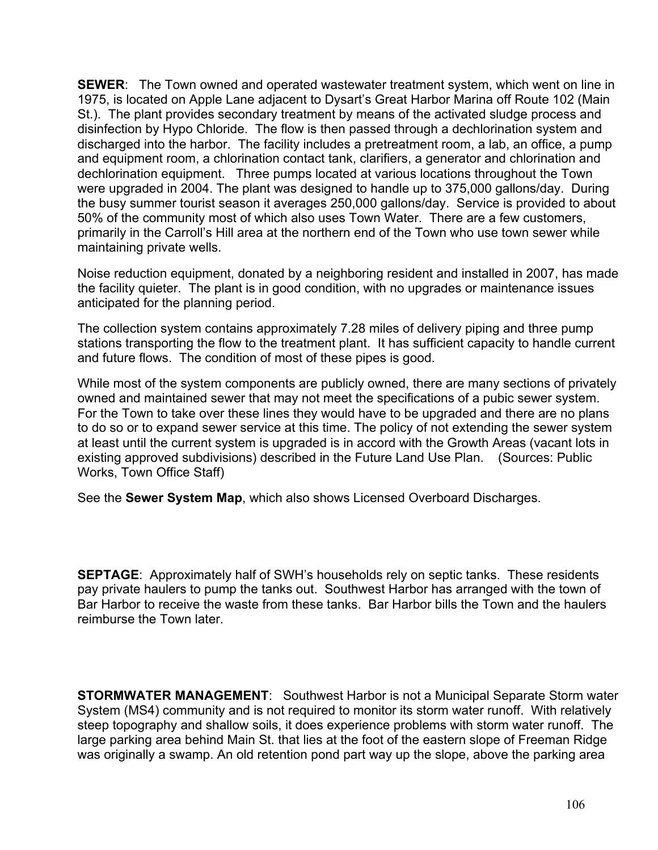**SEWER**: The Town owned and operated wastewater treatment system, which went on line in 1975, is located on Apple Lane adjacent to Dysart's Great Harbor Marina off Route 102 (Main St.). The plant provides secondary treatment by means of the activated sludge process and disinfection by Hypo Chloride. The flow is then passed through a dechlorination system and discharged into the harbor. The facility includes a pretreatment room, a lab, an office, a pump and equipment room, a chlorination contact tank, clarifiers, a generator and chlorination and dechlorination equipment. Three pumps located at various locations throughout the Town were upgraded in 2004. The plant was designed to handle up to 375,000 gallons/day. During the busy summer tourist season it averages 250,000 gallons/day. Service is provided to about 50% of the community most of which also uses Town Water. There are a few customers, primarily in the Carroll's Hill area at the northern end of the Town who use town sewer while maintaining private wells.

Noise reduction equipment, donated by a neighboring resident and installed in 2007, has made the facility quieter. The plant is in good condition, with no upgrades or maintenance issues anticipated for the planning period.

The collection system contains approximately 7.28 miles of delivery piping and three pump stations transporting the flow to the treatment plant. It has sufficient capacity to handle current and future flows. The condition of most of these pipes is good.

While most of the system components are publicly owned, there are many sections of privately owned and maintained sewer that may not meet the specifications of a pubic sewer system. For the Town to take over these lines they would have to be upgraded and there are no plans to do so or to expand sewer service at this time. The policy of not extending the sewer system at least until the current system is upgraded is in accord with the Growth Areas (vacant lots in existing approved subdivisions) described in the Future Land Use Plan. (Sources: Public Works, Town Office Staff)

See the **Sewer System Map**, which also shows Licensed Overboard Discharges.

**SEPTAGE**: Approximately half of SWH's households rely on septic tanks. These residents pay private haulers to pump the tanks out. Southwest Harbor has arranged with the town of Bar Harbor to receive the waste from these tanks. Bar Harbor bills the Town and the haulers reimburse the Town later.

**STORMWATER MANAGEMENT**: Southwest Harbor is not a Municipal Separate Storm water System (MS4) community and is not required to monitor its storm water runoff. With relatively steep topography and shallow soils, it does experience problems with storm water runoff. The large parking area behind Main St. that lies at the foot of the eastern slope of Freeman Ridge was originally a swamp. An old retention pond part way up the slope, above the parking area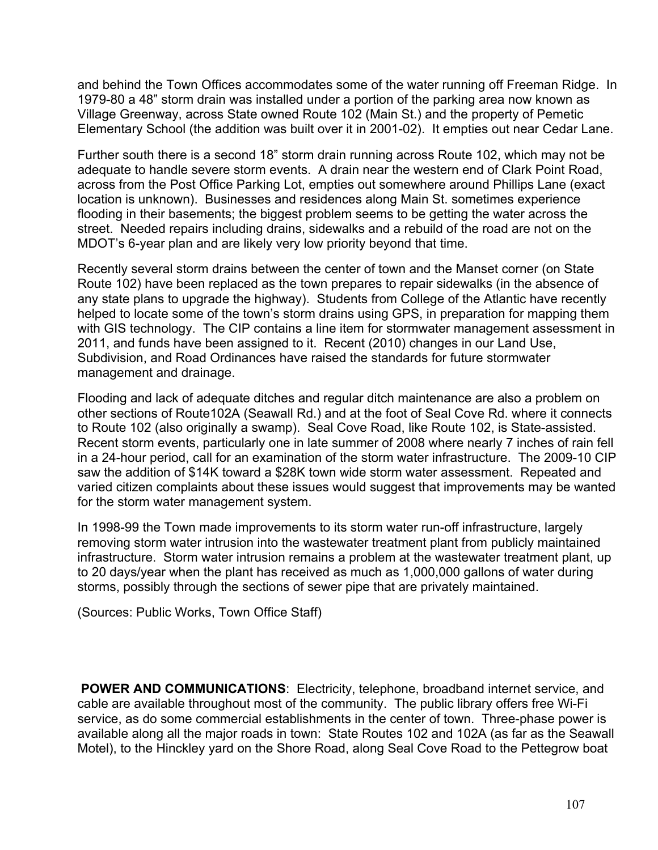and behind the Town Offices accommodates some of the water running off Freeman Ridge. In 1979-80 a 48" storm drain was installed under a portion of the parking area now known as Village Greenway, across State owned Route 102 (Main St.) and the property of Pemetic Elementary School (the addition was built over it in 2001-02). It empties out near Cedar Lane.

Further south there is a second 18" storm drain running across Route 102, which may not be adequate to handle severe storm events. A drain near the western end of Clark Point Road, across from the Post Office Parking Lot, empties out somewhere around Phillips Lane (exact location is unknown). Businesses and residences along Main St. sometimes experience flooding in their basements; the biggest problem seems to be getting the water across the street. Needed repairs including drains, sidewalks and a rebuild of the road are not on the MDOT's 6-year plan and are likely very low priority beyond that time.

Recently several storm drains between the center of town and the Manset corner (on State Route 102) have been replaced as the town prepares to repair sidewalks (in the absence of any state plans to upgrade the highway). Students from College of the Atlantic have recently helped to locate some of the town's storm drains using GPS, in preparation for mapping them with GIS technology. The CIP contains a line item for stormwater management assessment in 2011, and funds have been assigned to it. Recent (2010) changes in our Land Use, Subdivision, and Road Ordinances have raised the standards for future stormwater management and drainage.

Flooding and lack of adequate ditches and regular ditch maintenance are also a problem on other sections of Route102A (Seawall Rd.) and at the foot of Seal Cove Rd. where it connects to Route 102 (also originally a swamp). Seal Cove Road, like Route 102, is State-assisted. Recent storm events, particularly one in late summer of 2008 where nearly 7 inches of rain fell in a 24-hour period, call for an examination of the storm water infrastructure. The 2009-10 CIP saw the addition of \$14K toward a \$28K town wide storm water assessment. Repeated and varied citizen complaints about these issues would suggest that improvements may be wanted for the storm water management system.

In 1998-99 the Town made improvements to its storm water run-off infrastructure, largely removing storm water intrusion into the wastewater treatment plant from publicly maintained infrastructure. Storm water intrusion remains a problem at the wastewater treatment plant, up to 20 days/year when the plant has received as much as 1,000,000 gallons of water during storms, possibly through the sections of sewer pipe that are privately maintained.

(Sources: Public Works, Town Office Staff)

 **POWER AND COMMUNICATIONS**: Electricity, telephone, broadband internet service, and cable are available throughout most of the community. The public library offers free Wi-Fi service, as do some commercial establishments in the center of town. Three-phase power is available along all the major roads in town: State Routes 102 and 102A (as far as the Seawall Motel), to the Hinckley yard on the Shore Road, along Seal Cove Road to the Pettegrow boat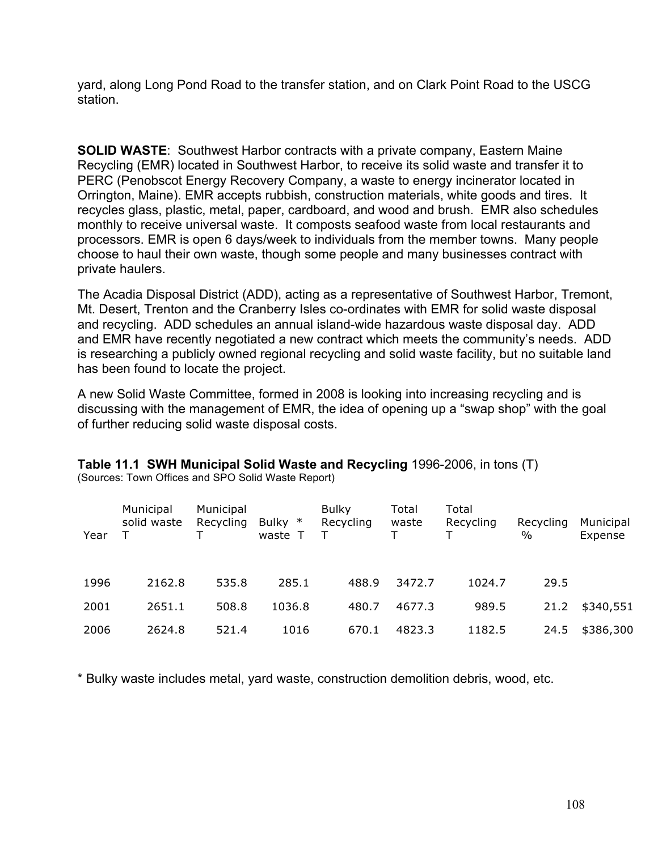yard, along Long Pond Road to the transfer station, and on Clark Point Road to the USCG station.

**SOLID WASTE**: Southwest Harbor contracts with a private company, Eastern Maine Recycling (EMR) located in Southwest Harbor, to receive its solid waste and transfer it to PERC (Penobscot Energy Recovery Company, a waste to energy incinerator located in Orrington, Maine). EMR accepts rubbish, construction materials, white goods and tires. It recycles glass, plastic, metal, paper, cardboard, and wood and brush. EMR also schedules monthly to receive universal waste. It composts seafood waste from local restaurants and processors. EMR is open 6 days/week to individuals from the member towns. Many people choose to haul their own waste, though some people and many businesses contract with private haulers.

The Acadia Disposal District (ADD), acting as a representative of Southwest Harbor, Tremont, Mt. Desert, Trenton and the Cranberry Isles co-ordinates with EMR for solid waste disposal and recycling. ADD schedules an annual island-wide hazardous waste disposal day. ADD and EMR have recently negotiated a new contract which meets the community's needs. ADD is researching a publicly owned regional recycling and solid waste facility, but no suitable land has been found to locate the project.

A new Solid Waste Committee, formed in 2008 is looking into increasing recycling and is discussing with the management of EMR, the idea of opening up a "swap shop" with the goal of further reducing solid waste disposal costs.

**Table 11.1 SWH Municipal Solid Waste and Recycling** 1996-2006, in tons (T)

| Year | Municipal<br>solid waste | Municipal<br>Recycling<br>т | Bulky $*$<br>waste T | <b>Bulky</b><br>Recycling | Total<br>waste<br>т | Total<br>Recycling | Recycling<br>$\%$ | Municipal<br>Expense |
|------|--------------------------|-----------------------------|----------------------|---------------------------|---------------------|--------------------|-------------------|----------------------|
| 1996 | 2162.8                   | 535.8                       | 285.1                | 488.9                     | 3472.7              | 1024.7             | 29.5              |                      |
| 2001 | 2651.1                   | 508.8                       | 1036.8               | 480.7                     | 4677.3              | 989.5              | 21.2              | \$340,551            |
| 2006 | 2624.8                   | 521.4                       | 1016                 | 670.1                     | 4823.3              | 1182.5             | 24.5              | \$386,300            |

(Sources: Town Offices and SPO Solid Waste Report)

\* Bulky waste includes metal, yard waste, construction demolition debris, wood, etc.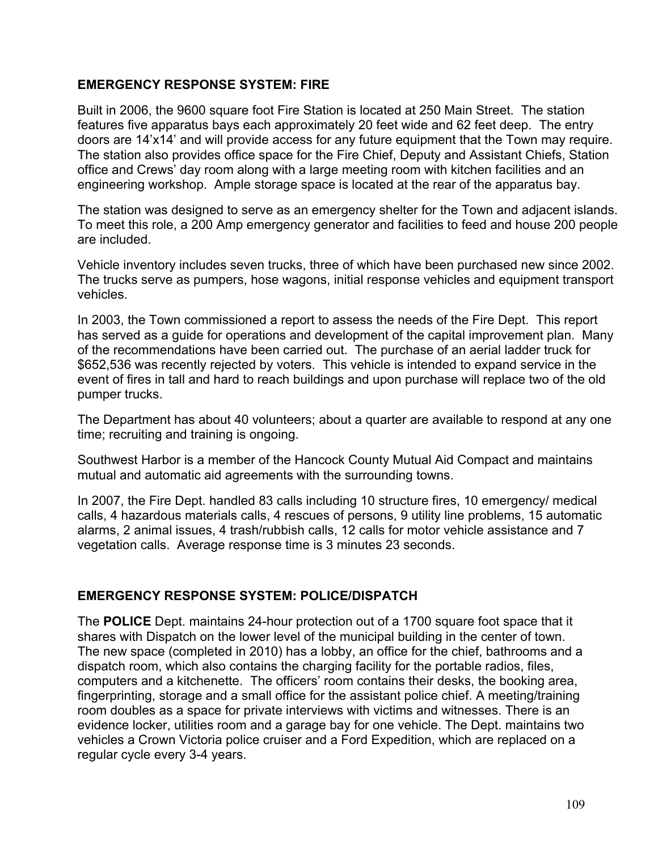#### **EMERGENCY RESPONSE SYSTEM: FIRE**

Built in 2006, the 9600 square foot Fire Station is located at 250 Main Street. The station features five apparatus bays each approximately 20 feet wide and 62 feet deep. The entry doors are 14'x14' and will provide access for any future equipment that the Town may require. The station also provides office space for the Fire Chief, Deputy and Assistant Chiefs, Station office and Crews' day room along with a large meeting room with kitchen facilities and an engineering workshop. Ample storage space is located at the rear of the apparatus bay.

The station was designed to serve as an emergency shelter for the Town and adjacent islands. To meet this role, a 200 Amp emergency generator and facilities to feed and house 200 people are included.

Vehicle inventory includes seven trucks, three of which have been purchased new since 2002. The trucks serve as pumpers, hose wagons, initial response vehicles and equipment transport vehicles.

In 2003, the Town commissioned a report to assess the needs of the Fire Dept. This report has served as a guide for operations and development of the capital improvement plan. Many of the recommendations have been carried out. The purchase of an aerial ladder truck for \$652,536 was recently rejected by voters. This vehicle is intended to expand service in the event of fires in tall and hard to reach buildings and upon purchase will replace two of the old pumper trucks.

The Department has about 40 volunteers; about a quarter are available to respond at any one time; recruiting and training is ongoing.

Southwest Harbor is a member of the Hancock County Mutual Aid Compact and maintains mutual and automatic aid agreements with the surrounding towns.

In 2007, the Fire Dept. handled 83 calls including 10 structure fires, 10 emergency/ medical calls, 4 hazardous materials calls, 4 rescues of persons, 9 utility line problems, 15 automatic alarms, 2 animal issues, 4 trash/rubbish calls, 12 calls for motor vehicle assistance and 7 vegetation calls. Average response time is 3 minutes 23 seconds.

## **EMERGENCY RESPONSE SYSTEM: POLICE/DISPATCH**

The **POLICE** Dept. maintains 24-hour protection out of a 1700 square foot space that it shares with Dispatch on the lower level of the municipal building in the center of town. The new space (completed in 2010) has a lobby, an office for the chief, bathrooms and a dispatch room, which also contains the charging facility for the portable radios, files, computers and a kitchenette. The officers' room contains their desks, the booking area, fingerprinting, storage and a small office for the assistant police chief. A meeting/training room doubles as a space for private interviews with victims and witnesses. There is an evidence locker, utilities room and a garage bay for one vehicle. The Dept. maintains two vehicles a Crown Victoria police cruiser and a Ford Expedition, which are replaced on a regular cycle every 3-4 years.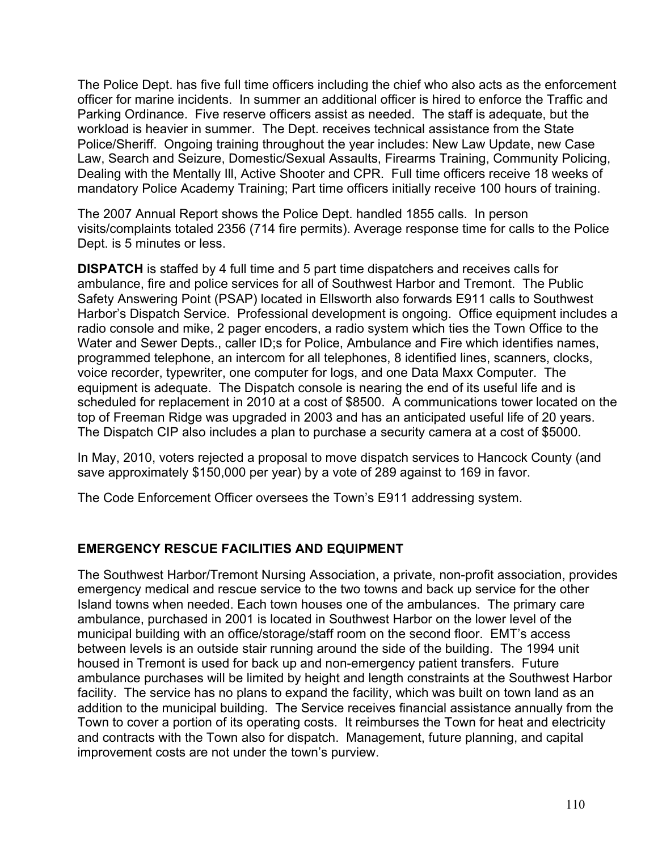The Police Dept. has five full time officers including the chief who also acts as the enforcement officer for marine incidents. In summer an additional officer is hired to enforce the Traffic and Parking Ordinance. Five reserve officers assist as needed. The staff is adequate, but the workload is heavier in summer. The Dept. receives technical assistance from the State Police/Sheriff. Ongoing training throughout the year includes: New Law Update, new Case Law, Search and Seizure, Domestic/Sexual Assaults, Firearms Training, Community Policing, Dealing with the Mentally Ill, Active Shooter and CPR. Full time officers receive 18 weeks of mandatory Police Academy Training; Part time officers initially receive 100 hours of training.

The 2007 Annual Report shows the Police Dept. handled 1855 calls. In person visits/complaints totaled 2356 (714 fire permits). Average response time for calls to the Police Dept. is 5 minutes or less.

**DISPATCH** is staffed by 4 full time and 5 part time dispatchers and receives calls for ambulance, fire and police services for all of Southwest Harbor and Tremont. The Public Safety Answering Point (PSAP) located in Ellsworth also forwards E911 calls to Southwest Harbor's Dispatch Service. Professional development is ongoing. Office equipment includes a radio console and mike, 2 pager encoders, a radio system which ties the Town Office to the Water and Sewer Depts., caller ID;s for Police, Ambulance and Fire which identifies names, programmed telephone, an intercom for all telephones, 8 identified lines, scanners, clocks, voice recorder, typewriter, one computer for logs, and one Data Maxx Computer. The equipment is adequate. The Dispatch console is nearing the end of its useful life and is scheduled for replacement in 2010 at a cost of \$8500. A communications tower located on the top of Freeman Ridge was upgraded in 2003 and has an anticipated useful life of 20 years. The Dispatch CIP also includes a plan to purchase a security camera at a cost of \$5000.

In May, 2010, voters rejected a proposal to move dispatch services to Hancock County (and save approximately \$150,000 per year) by a vote of 289 against to 169 in favor.

The Code Enforcement Officer oversees the Town's E911 addressing system.

## **EMERGENCY RESCUE FACILITIES AND EQUIPMENT**

The Southwest Harbor/Tremont Nursing Association, a private, non-profit association, provides emergency medical and rescue service to the two towns and back up service for the other Island towns when needed. Each town houses one of the ambulances. The primary care ambulance, purchased in 2001 is located in Southwest Harbor on the lower level of the municipal building with an office/storage/staff room on the second floor. EMT's access between levels is an outside stair running around the side of the building. The 1994 unit housed in Tremont is used for back up and non-emergency patient transfers. Future ambulance purchases will be limited by height and length constraints at the Southwest Harbor facility. The service has no plans to expand the facility, which was built on town land as an addition to the municipal building. The Service receives financial assistance annually from the Town to cover a portion of its operating costs. It reimburses the Town for heat and electricity and contracts with the Town also for dispatch. Management, future planning, and capital improvement costs are not under the town's purview.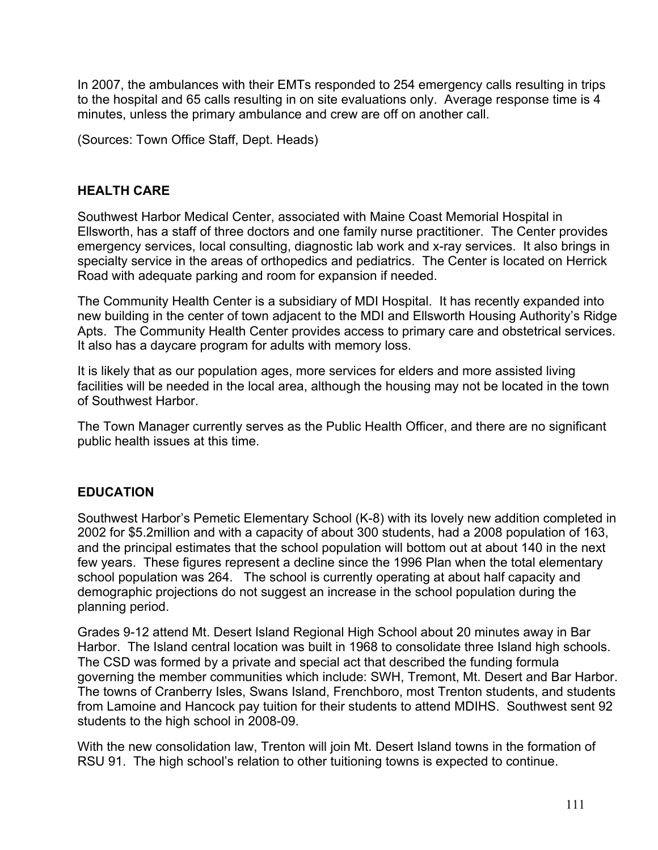In 2007, the ambulances with their EMTs responded to 254 emergency calls resulting in trips to the hospital and 65 calls resulting in on site evaluations only. Average response time is 4 minutes, unless the primary ambulance and crew are off on another call.

(Sources: Town Office Staff, Dept. Heads)

#### **HEALTH CARE**

Southwest Harbor Medical Center, associated with Maine Coast Memorial Hospital in Ellsworth, has a staff of three doctors and one family nurse practitioner. The Center provides emergency services, local consulting, diagnostic lab work and x-ray services. It also brings in specialty service in the areas of orthopedics and pediatrics. The Center is located on Herrick Road with adequate parking and room for expansion if needed.

The Community Health Center is a subsidiary of MDI Hospital. It has recently expanded into new building in the center of town adjacent to the MDI and Ellsworth Housing Authority's Ridge Apts. The Community Health Center provides access to primary care and obstetrical services. It also has a daycare program for adults with memory loss.

It is likely that as our population ages, more services for elders and more assisted living facilities will be needed in the local area, although the housing may not be located in the town of Southwest Harbor.

The Town Manager currently serves as the Public Health Officer, and there are no significant public health issues at this time.

#### **EDUCATION**

Southwest Harbor's Pemetic Elementary School (K-8) with its lovely new addition completed in 2002 for \$5.2million and with a capacity of about 300 students, had a 2008 population of 163, and the principal estimates that the school population will bottom out at about 140 in the next few years. These figures represent a decline since the 1996 Plan when the total elementary school population was 264. The school is currently operating at about half capacity and demographic projections do not suggest an increase in the school population during the planning period.

Grades 9-12 attend Mt. Desert Island Regional High School about 20 minutes away in Bar Harbor. The Island central location was built in 1968 to consolidate three Island high schools. The CSD was formed by a private and special act that described the funding formula governing the member communities which include: SWH, Tremont, Mt. Desert and Bar Harbor. The towns of Cranberry Isles, Swans Island, Frenchboro, most Trenton students, and students from Lamoine and Hancock pay tuition for their students to attend MDIHS. Southwest sent 92 students to the high school in 2008-09.

With the new consolidation law, Trenton will join Mt. Desert Island towns in the formation of RSU 91. The high school's relation to other tuitioning towns is expected to continue.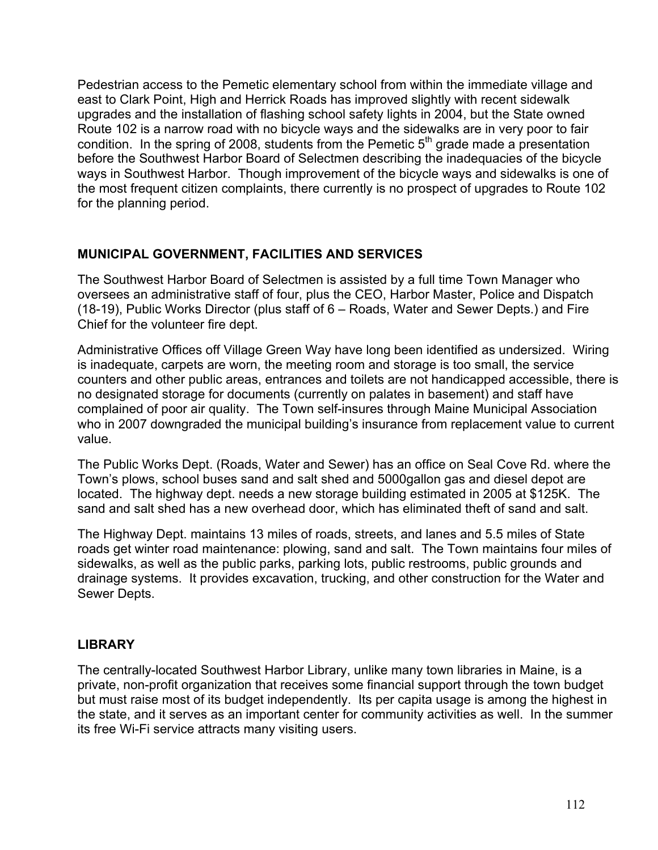Pedestrian access to the Pemetic elementary school from within the immediate village and east to Clark Point, High and Herrick Roads has improved slightly with recent sidewalk upgrades and the installation of flashing school safety lights in 2004, but the State owned Route 102 is a narrow road with no bicycle ways and the sidewalks are in very poor to fair condition. In the spring of 2008, students from the Pemetic  $5<sup>th</sup>$  grade made a presentation before the Southwest Harbor Board of Selectmen describing the inadequacies of the bicycle ways in Southwest Harbor. Though improvement of the bicycle ways and sidewalks is one of the most frequent citizen complaints, there currently is no prospect of upgrades to Route 102 for the planning period.

## **MUNICIPAL GOVERNMENT, FACILITIES AND SERVICES**

The Southwest Harbor Board of Selectmen is assisted by a full time Town Manager who oversees an administrative staff of four, plus the CEO, Harbor Master, Police and Dispatch (18-19), Public Works Director (plus staff of 6 – Roads, Water and Sewer Depts.) and Fire Chief for the volunteer fire dept.

Administrative Offices off Village Green Way have long been identified as undersized. Wiring is inadequate, carpets are worn, the meeting room and storage is too small, the service counters and other public areas, entrances and toilets are not handicapped accessible, there is no designated storage for documents (currently on palates in basement) and staff have complained of poor air quality. The Town self-insures through Maine Municipal Association who in 2007 downgraded the municipal building's insurance from replacement value to current value.

The Public Works Dept. (Roads, Water and Sewer) has an office on Seal Cove Rd. where the Town's plows, school buses sand and salt shed and 5000gallon gas and diesel depot are located. The highway dept. needs a new storage building estimated in 2005 at \$125K. The sand and salt shed has a new overhead door, which has eliminated theft of sand and salt.

The Highway Dept. maintains 13 miles of roads, streets, and lanes and 5.5 miles of State roads get winter road maintenance: plowing, sand and salt. The Town maintains four miles of sidewalks, as well as the public parks, parking lots, public restrooms, public grounds and drainage systems. It provides excavation, trucking, and other construction for the Water and Sewer Depts.

## **LIBRARY**

The centrally-located Southwest Harbor Library, unlike many town libraries in Maine, is a private, non-profit organization that receives some financial support through the town budget but must raise most of its budget independently. Its per capita usage is among the highest in the state, and it serves as an important center for community activities as well. In the summer its free Wi-Fi service attracts many visiting users.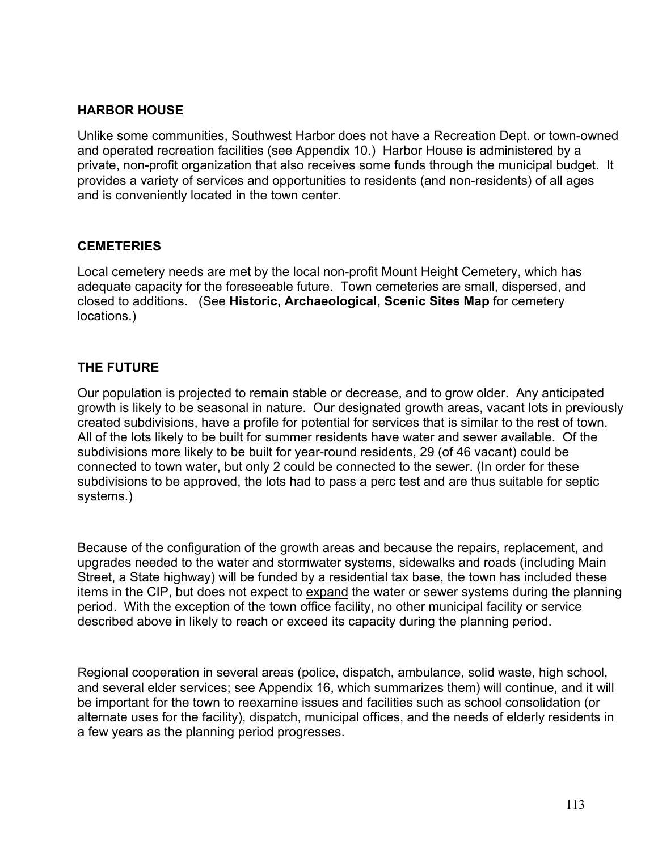## **HARBOR HOUSE**

Unlike some communities, Southwest Harbor does not have a Recreation Dept. or town-owned and operated recreation facilities (see Appendix 10.) Harbor House is administered by a private, non-profit organization that also receives some funds through the municipal budget. It provides a variety of services and opportunities to residents (and non-residents) of all ages and is conveniently located in the town center.

#### **CEMETERIES**

Local cemetery needs are met by the local non-profit Mount Height Cemetery, which has adequate capacity for the foreseeable future. Town cemeteries are small, dispersed, and closed to additions. (See **Historic, Archaeological, Scenic Sites Map** for cemetery locations.)

## **THE FUTURE**

Our population is projected to remain stable or decrease, and to grow older. Any anticipated growth is likely to be seasonal in nature. Our designated growth areas, vacant lots in previously created subdivisions, have a profile for potential for services that is similar to the rest of town. All of the lots likely to be built for summer residents have water and sewer available. Of the subdivisions more likely to be built for year-round residents, 29 (of 46 vacant) could be connected to town water, but only 2 could be connected to the sewer. (In order for these subdivisions to be approved, the lots had to pass a perc test and are thus suitable for septic systems.)

Because of the configuration of the growth areas and because the repairs, replacement, and upgrades needed to the water and stormwater systems, sidewalks and roads (including Main Street, a State highway) will be funded by a residential tax base, the town has included these items in the CIP, but does not expect to expand the water or sewer systems during the planning period. With the exception of the town office facility, no other municipal facility or service described above in likely to reach or exceed its capacity during the planning period.

Regional cooperation in several areas (police, dispatch, ambulance, solid waste, high school, and several elder services; see Appendix 16, which summarizes them) will continue, and it will be important for the town to reexamine issues and facilities such as school consolidation (or alternate uses for the facility), dispatch, municipal offices, and the needs of elderly residents in a few years as the planning period progresses.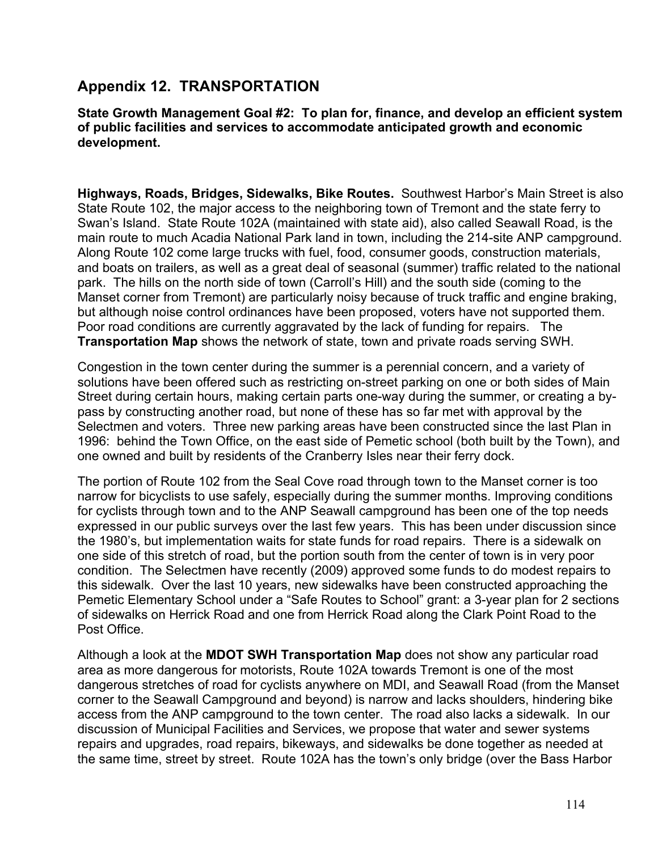## **Appendix 12. TRANSPORTATION**

#### **State Growth Management Goal #2: To plan for, finance, and develop an efficient system of public facilities and services to accommodate anticipated growth and economic development.**

**Highways, Roads, Bridges, Sidewalks, Bike Routes.** Southwest Harbor's Main Street is also State Route 102, the major access to the neighboring town of Tremont and the state ferry to Swan's Island. State Route 102A (maintained with state aid), also called Seawall Road, is the main route to much Acadia National Park land in town, including the 214-site ANP campground. Along Route 102 come large trucks with fuel, food, consumer goods, construction materials, and boats on trailers, as well as a great deal of seasonal (summer) traffic related to the national park. The hills on the north side of town (Carroll's Hill) and the south side (coming to the Manset corner from Tremont) are particularly noisy because of truck traffic and engine braking, but although noise control ordinances have been proposed, voters have not supported them. Poor road conditions are currently aggravated by the lack of funding for repairs. The **Transportation Map** shows the network of state, town and private roads serving SWH.

Congestion in the town center during the summer is a perennial concern, and a variety of solutions have been offered such as restricting on-street parking on one or both sides of Main Street during certain hours, making certain parts one-way during the summer, or creating a bypass by constructing another road, but none of these has so far met with approval by the Selectmen and voters. Three new parking areas have been constructed since the last Plan in 1996: behind the Town Office, on the east side of Pemetic school (both built by the Town), and one owned and built by residents of the Cranberry Isles near their ferry dock.

The portion of Route 102 from the Seal Cove road through town to the Manset corner is too narrow for bicyclists to use safely, especially during the summer months. Improving conditions for cyclists through town and to the ANP Seawall campground has been one of the top needs expressed in our public surveys over the last few years. This has been under discussion since the 1980's, but implementation waits for state funds for road repairs. There is a sidewalk on one side of this stretch of road, but the portion south from the center of town is in very poor condition. The Selectmen have recently (2009) approved some funds to do modest repairs to this sidewalk. Over the last 10 years, new sidewalks have been constructed approaching the Pemetic Elementary School under a "Safe Routes to School" grant: a 3-year plan for 2 sections of sidewalks on Herrick Road and one from Herrick Road along the Clark Point Road to the Post Office.

Although a look at the **MDOT SWH Transportation Map** does not show any particular road area as more dangerous for motorists, Route 102A towards Tremont is one of the most dangerous stretches of road for cyclists anywhere on MDI, and Seawall Road (from the Manset corner to the Seawall Campground and beyond) is narrow and lacks shoulders, hindering bike access from the ANP campground to the town center. The road also lacks a sidewalk. In our discussion of Municipal Facilities and Services, we propose that water and sewer systems repairs and upgrades, road repairs, bikeways, and sidewalks be done together as needed at the same time, street by street. Route 102A has the town's only bridge (over the Bass Harbor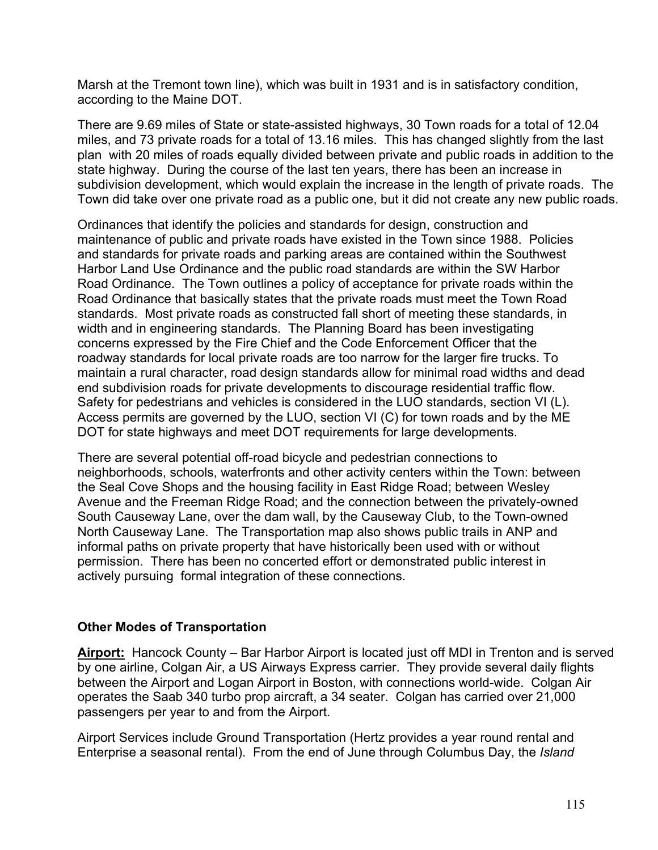Marsh at the Tremont town line), which was built in 1931 and is in satisfactory condition, according to the Maine DOT.

There are 9.69 miles of State or state-assisted highways, 30 Town roads for a total of 12.04 miles, and 73 private roads for a total of 13.16 miles. This has changed slightly from the last plan with 20 miles of roads equally divided between private and public roads in addition to the state highway. During the course of the last ten years, there has been an increase in subdivision development, which would explain the increase in the length of private roads. The Town did take over one private road as a public one, but it did not create any new public roads.

Ordinances that identify the policies and standards for design, construction and maintenance of public and private roads have existed in the Town since 1988. Policies and standards for private roads and parking areas are contained within the Southwest Harbor Land Use Ordinance and the public road standards are within the SW Harbor Road Ordinance. The Town outlines a policy of acceptance for private roads within the Road Ordinance that basically states that the private roads must meet the Town Road standards. Most private roads as constructed fall short of meeting these standards, in width and in engineering standards. The Planning Board has been investigating concerns expressed by the Fire Chief and the Code Enforcement Officer that the roadway standards for local private roads are too narrow for the larger fire trucks. To maintain a rural character, road design standards allow for minimal road widths and dead end subdivision roads for private developments to discourage residential traffic flow. Safety for pedestrians and vehicles is considered in the LUO standards, section VI (L). Access permits are governed by the LUO, section VI (C) for town roads and by the ME DOT for state highways and meet DOT requirements for large developments.

There are several potential off-road bicycle and pedestrian connections to neighborhoods, schools, waterfronts and other activity centers within the Town: between the Seal Cove Shops and the housing facility in East Ridge Road; between Wesley Avenue and the Freeman Ridge Road; and the connection between the privately-owned South Causeway Lane, over the dam wall, by the Causeway Club, to the Town-owned North Causeway Lane. The Transportation map also shows public trails in ANP and informal paths on private property that have historically been used with or without permission. There has been no concerted effort or demonstrated public interest in actively pursuing formal integration of these connections.

## **Other Modes of Transportation**

**Airport:** Hancock County – Bar Harbor Airport is located just off MDI in Trenton and is served by one airline, Colgan Air, a US Airways Express carrier. They provide several daily flights between the Airport and Logan Airport in Boston, with connections world-wide. Colgan Air operates the Saab 340 turbo prop aircraft, a 34 seater. Colgan has carried over 21,000 passengers per year to and from the Airport.

Airport Services include Ground Transportation (Hertz provides a year round rental and Enterprise a seasonal rental). From the end of June through Columbus Day, the *Island*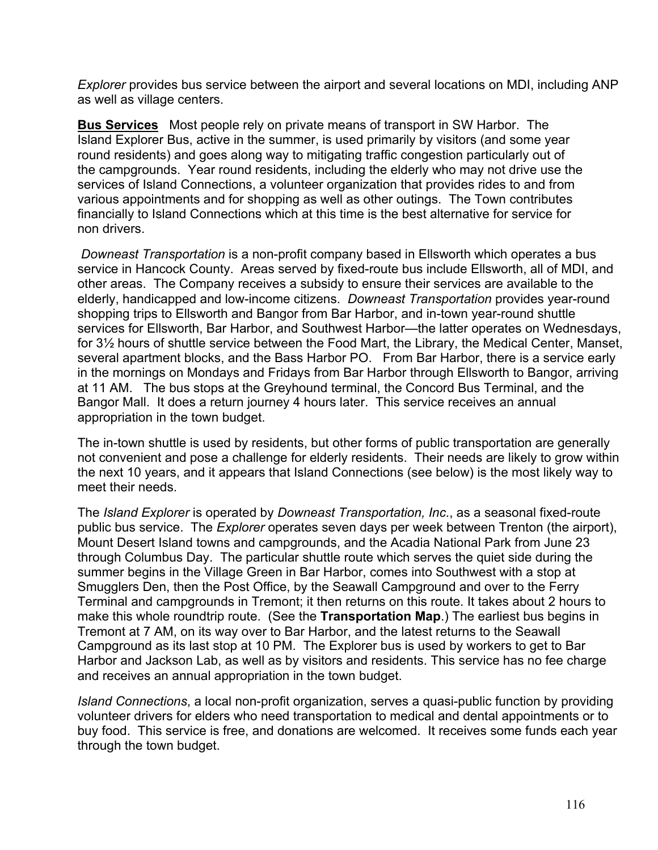*Explorer* provides bus service between the airport and several locations on MDI, including ANP as well as village centers.

**Bus Services** Most people rely on private means of transport in SW Harbor. The Island Explorer Bus, active in the summer, is used primarily by visitors (and some year round residents) and goes along way to mitigating traffic congestion particularly out of the campgrounds. Year round residents, including the elderly who may not drive use the services of Island Connections, a volunteer organization that provides rides to and from various appointments and for shopping as well as other outings. The Town contributes financially to Island Connections which at this time is the best alternative for service for non drivers.

*Downeast Transportation* is a non-profit company based in Ellsworth which operates a bus service in Hancock County. Areas served by fixed-route bus include Ellsworth, all of MDI, and other areas. The Company receives a subsidy to ensure their services are available to the elderly, handicapped and low-income citizens. *Downeast Transportation* provides year-round shopping trips to Ellsworth and Bangor from Bar Harbor, and in-town year-round shuttle services for Ellsworth, Bar Harbor, and Southwest Harbor—the latter operates on Wednesdays, for 3½ hours of shuttle service between the Food Mart, the Library, the Medical Center, Manset, several apartment blocks, and the Bass Harbor PO. From Bar Harbor, there is a service early in the mornings on Mondays and Fridays from Bar Harbor through Ellsworth to Bangor, arriving at 11 AM. The bus stops at the Greyhound terminal, the Concord Bus Terminal, and the Bangor Mall. It does a return journey 4 hours later. This service receives an annual appropriation in the town budget.

The in-town shuttle is used by residents, but other forms of public transportation are generally not convenient and pose a challenge for elderly residents. Their needs are likely to grow within the next 10 years, and it appears that Island Connections (see below) is the most likely way to meet their needs.

The *Island Explorer* is operated by *Downeast Transportation, Inc*., as a seasonal fixed-route public bus service. The *Explorer* operates seven days per week between Trenton (the airport), Mount Desert Island towns and campgrounds, and the Acadia National Park from June 23 through Columbus Day. The particular shuttle route which serves the quiet side during the summer begins in the Village Green in Bar Harbor, comes into Southwest with a stop at Smugglers Den, then the Post Office, by the Seawall Campground and over to the Ferry Terminal and campgrounds in Tremont; it then returns on this route. It takes about 2 hours to make this whole roundtrip route. (See the **Transportation Map**.) The earliest bus begins in Tremont at 7 AM, on its way over to Bar Harbor, and the latest returns to the Seawall Campground as its last stop at 10 PM. The Explorer bus is used by workers to get to Bar Harbor and Jackson Lab, as well as by visitors and residents. This service has no fee charge and receives an annual appropriation in the town budget.

*Island Connections*, a local non-profit organization, serves a quasi-public function by providing volunteer drivers for elders who need transportation to medical and dental appointments or to buy food. This service is free, and donations are welcomed. It receives some funds each year through the town budget.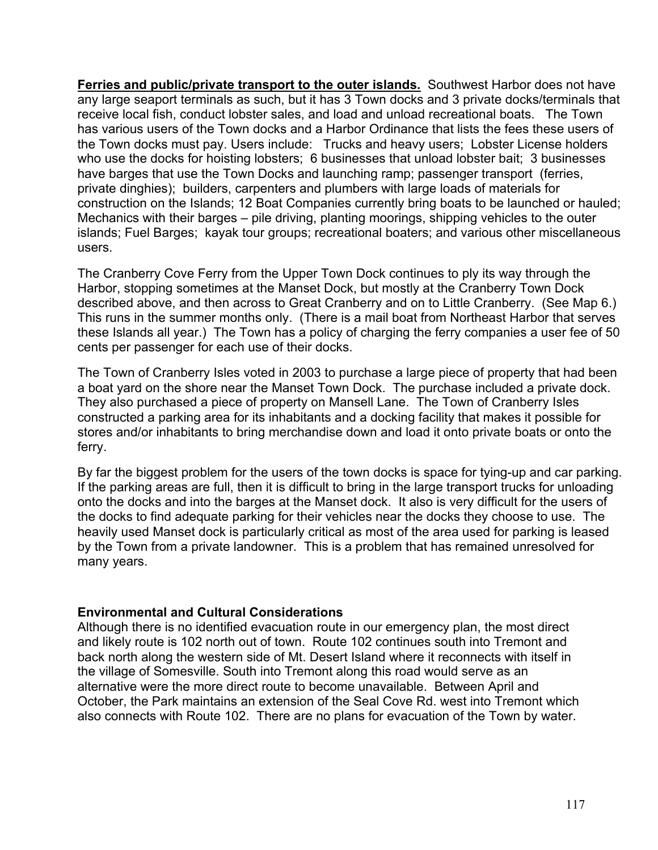**Ferries and public/private transport to the outer islands.** Southwest Harbor does not have any large seaport terminals as such, but it has 3 Town docks and 3 private docks/terminals that receive local fish, conduct lobster sales, and load and unload recreational boats. The Town has various users of the Town docks and a Harbor Ordinance that lists the fees these users of the Town docks must pay. Users include: Trucks and heavy users; Lobster License holders who use the docks for hoisting lobsters; 6 businesses that unload lobster bait; 3 businesses have barges that use the Town Docks and launching ramp; passenger transport (ferries, private dinghies); builders, carpenters and plumbers with large loads of materials for construction on the Islands; 12 Boat Companies currently bring boats to be launched or hauled; Mechanics with their barges – pile driving, planting moorings, shipping vehicles to the outer islands; Fuel Barges; kayak tour groups; recreational boaters; and various other miscellaneous users.

The Cranberry Cove Ferry from the Upper Town Dock continues to ply its way through the Harbor, stopping sometimes at the Manset Dock, but mostly at the Cranberry Town Dock described above, and then across to Great Cranberry and on to Little Cranberry. (See Map 6.) This runs in the summer months only. (There is a mail boat from Northeast Harbor that serves these Islands all year.) The Town has a policy of charging the ferry companies a user fee of 50 cents per passenger for each use of their docks.

The Town of Cranberry Isles voted in 2003 to purchase a large piece of property that had been a boat yard on the shore near the Manset Town Dock. The purchase included a private dock. They also purchased a piece of property on Mansell Lane. The Town of Cranberry Isles constructed a parking area for its inhabitants and a docking facility that makes it possible for stores and/or inhabitants to bring merchandise down and load it onto private boats or onto the ferry.

By far the biggest problem for the users of the town docks is space for tying-up and car parking. If the parking areas are full, then it is difficult to bring in the large transport trucks for unloading onto the docks and into the barges at the Manset dock. It also is very difficult for the users of the docks to find adequate parking for their vehicles near the docks they choose to use. The heavily used Manset dock is particularly critical as most of the area used for parking is leased by the Town from a private landowner. This is a problem that has remained unresolved for many years.

#### **Environmental and Cultural Considerations**

Although there is no identified evacuation route in our emergency plan, the most direct and likely route is 102 north out of town. Route 102 continues south into Tremont and back north along the western side of Mt. Desert Island where it reconnects with itself in the village of Somesville. South into Tremont along this road would serve as an alternative were the more direct route to become unavailable. Between April and October, the Park maintains an extension of the Seal Cove Rd. west into Tremont which also connects with Route 102. There are no plans for evacuation of the Town by water.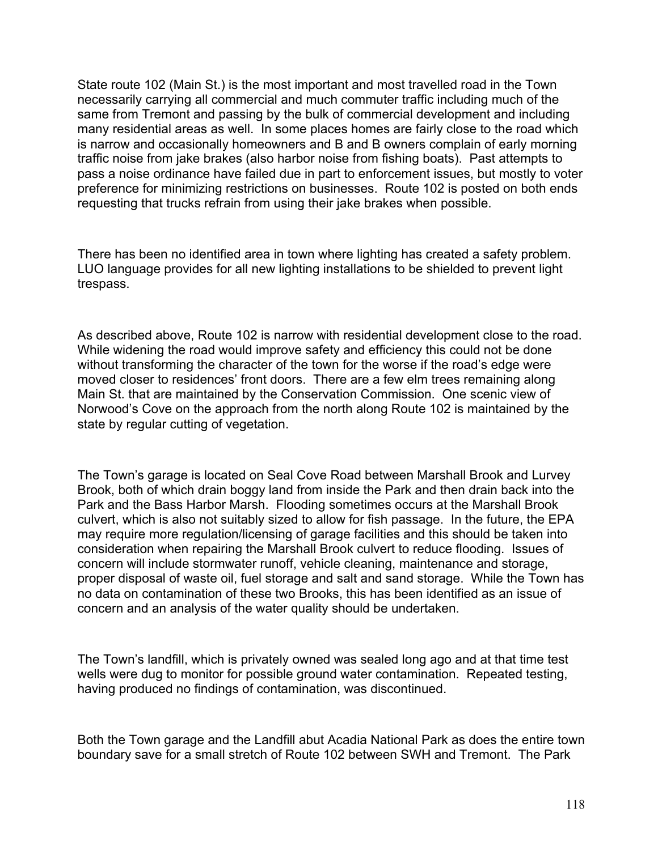State route 102 (Main St.) is the most important and most travelled road in the Town necessarily carrying all commercial and much commuter traffic including much of the same from Tremont and passing by the bulk of commercial development and including many residential areas as well. In some places homes are fairly close to the road which is narrow and occasionally homeowners and B and B owners complain of early morning traffic noise from jake brakes (also harbor noise from fishing boats). Past attempts to pass a noise ordinance have failed due in part to enforcement issues, but mostly to voter preference for minimizing restrictions on businesses. Route 102 is posted on both ends requesting that trucks refrain from using their jake brakes when possible.

There has been no identified area in town where lighting has created a safety problem. LUO language provides for all new lighting installations to be shielded to prevent light trespass.

As described above, Route 102 is narrow with residential development close to the road. While widening the road would improve safety and efficiency this could not be done without transforming the character of the town for the worse if the road's edge were moved closer to residences' front doors. There are a few elm trees remaining along Main St. that are maintained by the Conservation Commission. One scenic view of Norwood's Cove on the approach from the north along Route 102 is maintained by the state by regular cutting of vegetation.

The Town's garage is located on Seal Cove Road between Marshall Brook and Lurvey Brook, both of which drain boggy land from inside the Park and then drain back into the Park and the Bass Harbor Marsh. Flooding sometimes occurs at the Marshall Brook culvert, which is also not suitably sized to allow for fish passage. In the future, the EPA may require more regulation/licensing of garage facilities and this should be taken into consideration when repairing the Marshall Brook culvert to reduce flooding. Issues of concern will include stormwater runoff, vehicle cleaning, maintenance and storage, proper disposal of waste oil, fuel storage and salt and sand storage. While the Town has no data on contamination of these two Brooks, this has been identified as an issue of concern and an analysis of the water quality should be undertaken.

The Town's landfill, which is privately owned was sealed long ago and at that time test wells were dug to monitor for possible ground water contamination. Repeated testing, having produced no findings of contamination, was discontinued.

Both the Town garage and the Landfill abut Acadia National Park as does the entire town boundary save for a small stretch of Route 102 between SWH and Tremont. The Park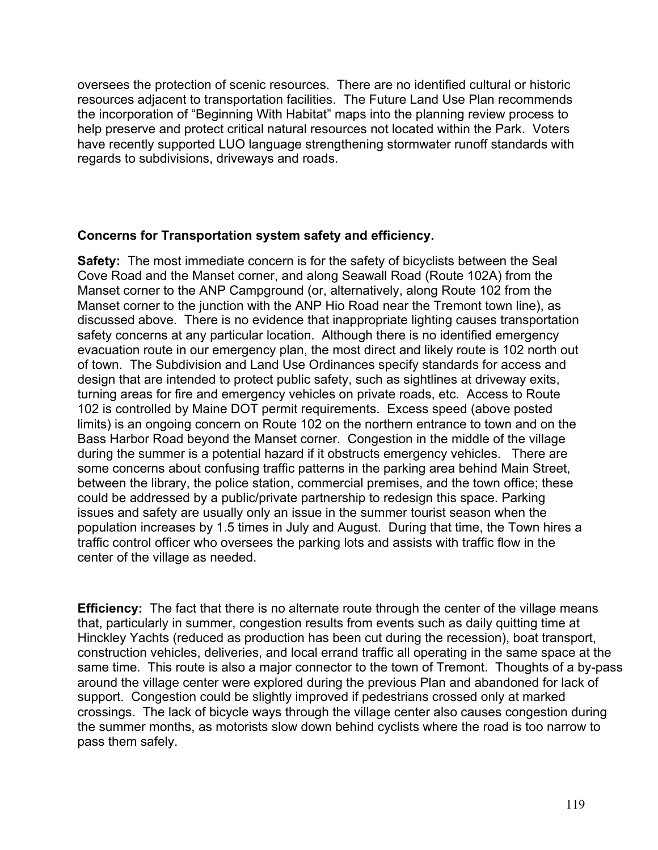oversees the protection of scenic resources. There are no identified cultural or historic resources adjacent to transportation facilities. The Future Land Use Plan recommends the incorporation of "Beginning With Habitat" maps into the planning review process to help preserve and protect critical natural resources not located within the Park. Voters have recently supported LUO language strengthening stormwater runoff standards with regards to subdivisions, driveways and roads.

#### **Concerns for Transportation system safety and efficiency.**

**Safety:** The most immediate concern is for the safety of bicyclists between the Seal Cove Road and the Manset corner, and along Seawall Road (Route 102A) from the Manset corner to the ANP Campground (or, alternatively, along Route 102 from the Manset corner to the junction with the ANP Hio Road near the Tremont town line), as discussed above. There is no evidence that inappropriate lighting causes transportation safety concerns at any particular location. Although there is no identified emergency evacuation route in our emergency plan, the most direct and likely route is 102 north out of town. The Subdivision and Land Use Ordinances specify standards for access and design that are intended to protect public safety, such as sightlines at driveway exits, turning areas for fire and emergency vehicles on private roads, etc. Access to Route 102 is controlled by Maine DOT permit requirements. Excess speed (above posted limits) is an ongoing concern on Route 102 on the northern entrance to town and on the Bass Harbor Road beyond the Manset corner. Congestion in the middle of the village during the summer is a potential hazard if it obstructs emergency vehicles. There are some concerns about confusing traffic patterns in the parking area behind Main Street, between the library, the police station, commercial premises, and the town office; these could be addressed by a public/private partnership to redesign this space. Parking issues and safety are usually only an issue in the summer tourist season when the population increases by 1.5 times in July and August. During that time, the Town hires a traffic control officer who oversees the parking lots and assists with traffic flow in the center of the village as needed.

**Efficiency:** The fact that there is no alternate route through the center of the village means that, particularly in summer, congestion results from events such as daily quitting time at Hinckley Yachts (reduced as production has been cut during the recession), boat transport, construction vehicles, deliveries, and local errand traffic all operating in the same space at the same time. This route is also a major connector to the town of Tremont. Thoughts of a by-pass around the village center were explored during the previous Plan and abandoned for lack of support. Congestion could be slightly improved if pedestrians crossed only at marked crossings. The lack of bicycle ways through the village center also causes congestion during the summer months, as motorists slow down behind cyclists where the road is too narrow to pass them safely.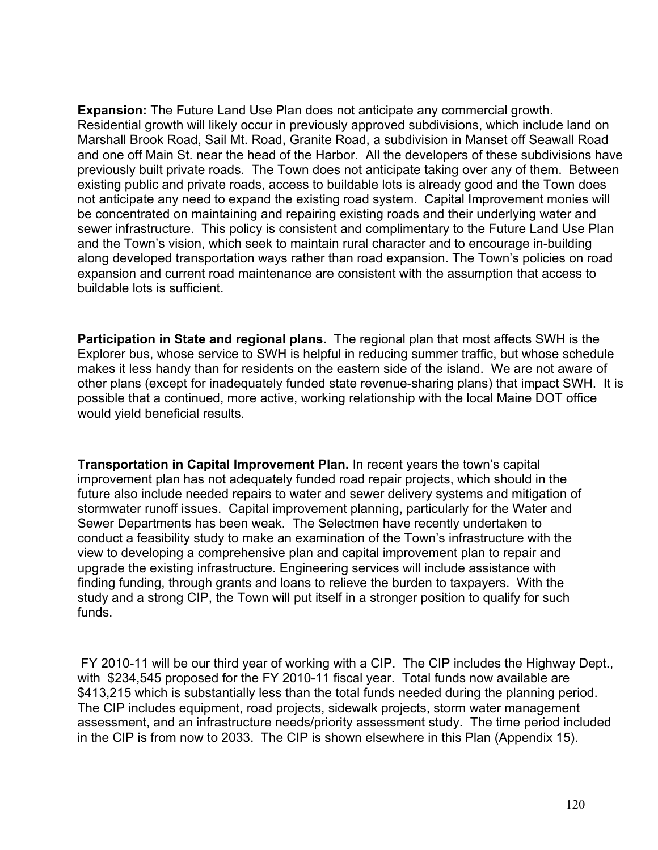**Expansion:** The Future Land Use Plan does not anticipate any commercial growth. Residential growth will likely occur in previously approved subdivisions, which include land on Marshall Brook Road, Sail Mt. Road, Granite Road, a subdivision in Manset off Seawall Road and one off Main St. near the head of the Harbor. All the developers of these subdivisions have previously built private roads. The Town does not anticipate taking over any of them. Between existing public and private roads, access to buildable lots is already good and the Town does not anticipate any need to expand the existing road system. Capital Improvement monies will be concentrated on maintaining and repairing existing roads and their underlying water and sewer infrastructure. This policy is consistent and complimentary to the Future Land Use Plan and the Town's vision, which seek to maintain rural character and to encourage in-building along developed transportation ways rather than road expansion. The Town's policies on road expansion and current road maintenance are consistent with the assumption that access to buildable lots is sufficient.

**Participation in State and regional plans.** The regional plan that most affects SWH is the Explorer bus, whose service to SWH is helpful in reducing summer traffic, but whose schedule makes it less handy than for residents on the eastern side of the island. We are not aware of other plans (except for inadequately funded state revenue-sharing plans) that impact SWH. It is possible that a continued, more active, working relationship with the local Maine DOT office would yield beneficial results.

**Transportation in Capital Improvement Plan.** In recent years the town's capital improvement plan has not adequately funded road repair projects, which should in the future also include needed repairs to water and sewer delivery systems and mitigation of stormwater runoff issues. Capital improvement planning, particularly for the Water and Sewer Departments has been weak. The Selectmen have recently undertaken to conduct a feasibility study to make an examination of the Town's infrastructure with the view to developing a comprehensive plan and capital improvement plan to repair and upgrade the existing infrastructure. Engineering services will include assistance with finding funding, through grants and loans to relieve the burden to taxpayers. With the study and a strong CIP, the Town will put itself in a stronger position to qualify for such funds.

 FY 2010-11 will be our third year of working with a CIP. The CIP includes the Highway Dept., with \$234,545 proposed for the FY 2010-11 fiscal year. Total funds now available are \$413,215 which is substantially less than the total funds needed during the planning period. The CIP includes equipment, road projects, sidewalk projects, storm water management assessment, and an infrastructure needs/priority assessment study. The time period included in the CIP is from now to 2033. The CIP is shown elsewhere in this Plan (Appendix 15).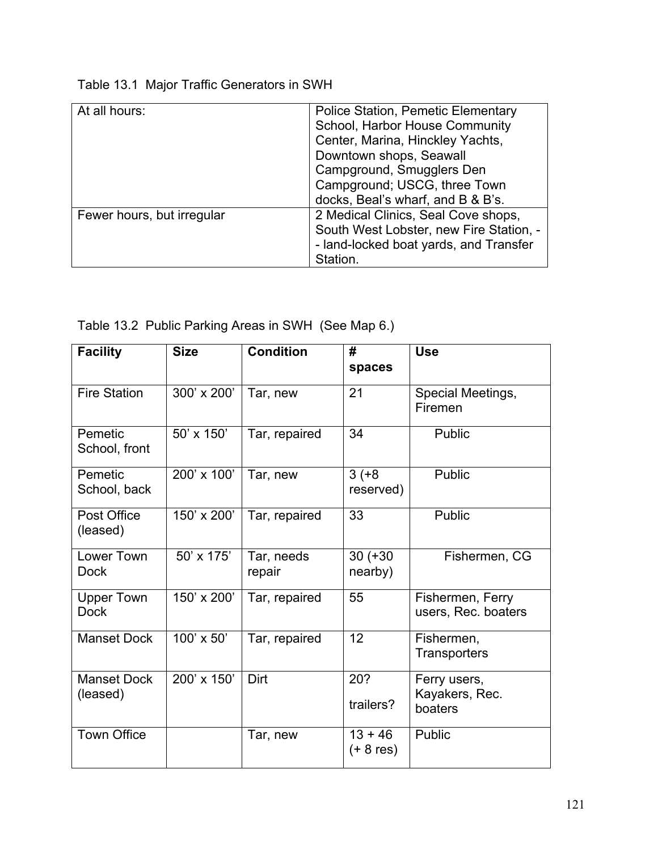| Table 13.1 Major Traffic Generators in SWH |  |  |  |  |  |  |
|--------------------------------------------|--|--|--|--|--|--|
|--------------------------------------------|--|--|--|--|--|--|

| At all hours:              | <b>Police Station, Pemetic Elementary</b><br>School, Harbor House Community<br>Center, Marina, Hinckley Yachts,<br>Downtown shops, Seawall<br>Campground, Smugglers Den<br>Campground; USCG, three Town<br>docks, Beal's wharf, and B & B's. |
|----------------------------|----------------------------------------------------------------------------------------------------------------------------------------------------------------------------------------------------------------------------------------------|
| Fewer hours, but irregular | 2 Medical Clinics, Seal Cove shops,<br>South West Lobster, new Fire Station, -<br>- land-locked boat yards, and Transfer<br>Station.                                                                                                         |

| Table 13.2 Public Parking Areas in SWH (See Map 6.) |  |
|-----------------------------------------------------|--|
|                                                     |  |

| <b>Facility</b>                  | <b>Size</b> | <b>Condition</b>     | #<br>spaces              | <b>Use</b>                                |
|----------------------------------|-------------|----------------------|--------------------------|-------------------------------------------|
| <b>Fire Station</b>              | 300' x 200' | Tar, new             | 21                       | Special Meetings,<br>Firemen              |
| Pemetic<br>School, front         | 50' x 150'  | Tar, repaired        | 34                       | <b>Public</b>                             |
| Pemetic<br>School, back          | 200' x 100' | Tar, new             | $3 (+8)$<br>reserved)    | Public                                    |
| Post Office<br>(leased)          | 150' x 200' | Tar, repaired        | 33                       | Public                                    |
| Lower Town<br><b>Dock</b>        | 50' x 175'  | Tar, needs<br>repair | $30 (+30)$<br>nearby)    | Fishermen, CG                             |
| <b>Upper Town</b><br><b>Dock</b> | 150' x 200' | Tar, repaired        | 55                       | Fishermen, Ferry<br>users, Rec. boaters   |
| <b>Manset Dock</b>               | 100' x 50'  | Tar, repaired        | 12                       | Fishermen,<br><b>Transporters</b>         |
| <b>Manset Dock</b><br>(leased)   | 200' x 150' | Dirt                 | 20?<br>trailers?         | Ferry users,<br>Kayakers, Rec.<br>boaters |
| <b>Town Office</b>               |             | Tar, new             | $13 + 46$<br>$(+ 8$ res) | Public                                    |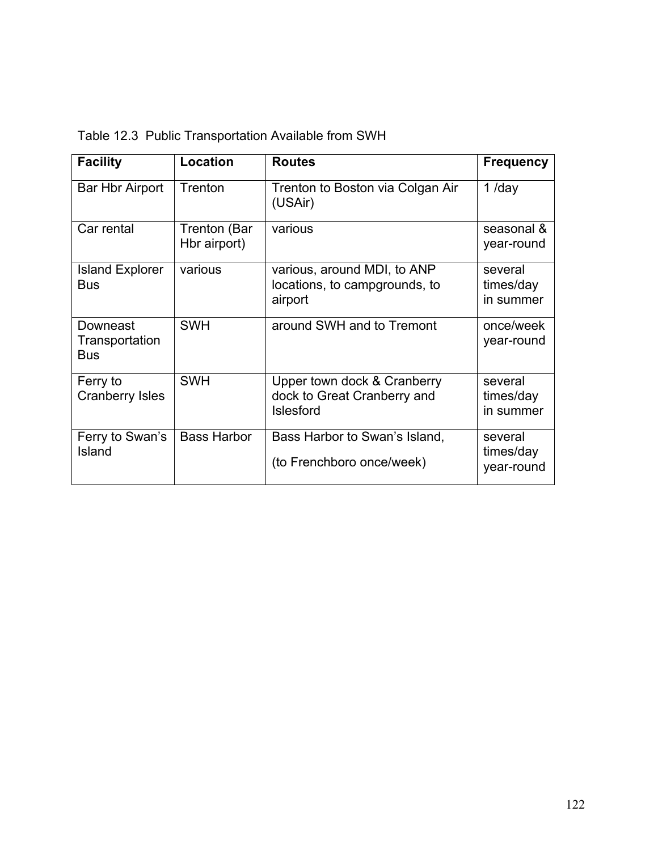|  |  | Table 12.3 Public Transportation Available from SWH |  |  |
|--|--|-----------------------------------------------------|--|--|
|--|--|-----------------------------------------------------|--|--|

| <b>Facility</b>                          | Location                     | <b>Routes</b>                                                                  | <b>Frequency</b>                   |
|------------------------------------------|------------------------------|--------------------------------------------------------------------------------|------------------------------------|
| <b>Bar Hbr Airport</b>                   | Trenton                      | Trenton to Boston via Colgan Air<br>(USAir)                                    | $1$ /day                           |
| Car rental                               | Trenton (Bar<br>Hbr airport) | various                                                                        | seasonal &<br>year-round           |
| <b>Island Explorer</b><br>Bus            | various                      | various, around MDI, to ANP<br>locations, to campgrounds, to<br>airport        | several<br>times/day<br>in summer  |
| Downeast<br>Transportation<br><b>Bus</b> | <b>SWH</b>                   | around SWH and to Tremont                                                      | once/week<br>year-round            |
| Ferry to<br><b>Cranberry Isles</b>       | <b>SWH</b>                   | Upper town dock & Cranberry<br>dock to Great Cranberry and<br><b>Islesford</b> | several<br>times/day<br>in summer  |
| Ferry to Swan's<br>Island                | <b>Bass Harbor</b>           | Bass Harbor to Swan's Island,<br>(to Frenchboro once/week)                     | several<br>times/day<br>year-round |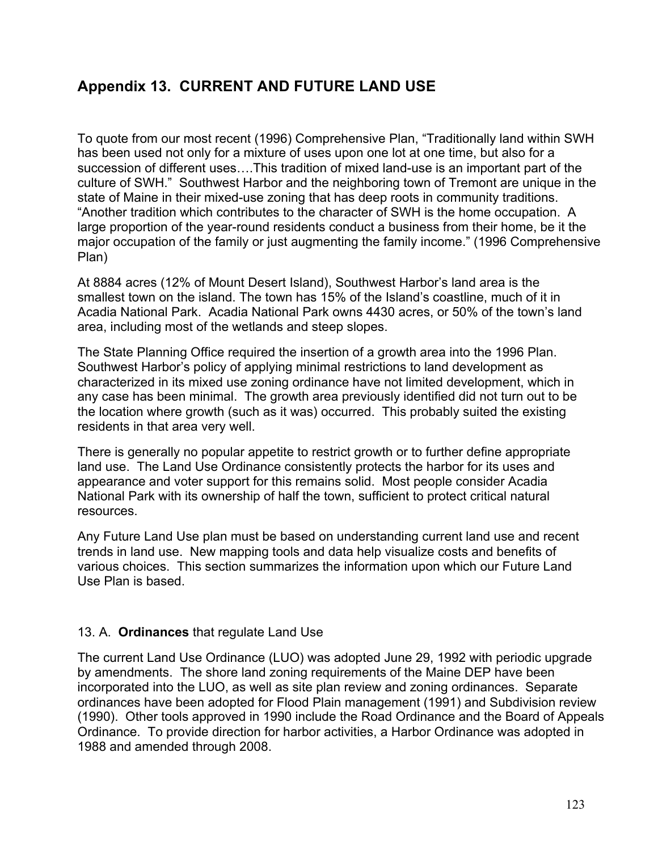## **Appendix 13. CURRENT AND FUTURE LAND USE**

To quote from our most recent (1996) Comprehensive Plan, "Traditionally land within SWH has been used not only for a mixture of uses upon one lot at one time, but also for a succession of different uses….This tradition of mixed land-use is an important part of the culture of SWH." Southwest Harbor and the neighboring town of Tremont are unique in the state of Maine in their mixed-use zoning that has deep roots in community traditions. "Another tradition which contributes to the character of SWH is the home occupation. A large proportion of the year-round residents conduct a business from their home, be it the major occupation of the family or just augmenting the family income." (1996 Comprehensive Plan)

At 8884 acres (12% of Mount Desert Island), Southwest Harbor's land area is the smallest town on the island. The town has 15% of the Island's coastline, much of it in Acadia National Park. Acadia National Park owns 4430 acres, or 50% of the town's land area, including most of the wetlands and steep slopes.

The State Planning Office required the insertion of a growth area into the 1996 Plan. Southwest Harbor's policy of applying minimal restrictions to land development as characterized in its mixed use zoning ordinance have not limited development, which in any case has been minimal. The growth area previously identified did not turn out to be the location where growth (such as it was) occurred. This probably suited the existing residents in that area very well.

There is generally no popular appetite to restrict growth or to further define appropriate land use. The Land Use Ordinance consistently protects the harbor for its uses and appearance and voter support for this remains solid. Most people consider Acadia National Park with its ownership of half the town, sufficient to protect critical natural resources.

Any Future Land Use plan must be based on understanding current land use and recent trends in land use. New mapping tools and data help visualize costs and benefits of various choices. This section summarizes the information upon which our Future Land Use Plan is based.

## 13. A. **Ordinances** that regulate Land Use

The current Land Use Ordinance (LUO) was adopted June 29, 1992 with periodic upgrade by amendments. The shore land zoning requirements of the Maine DEP have been incorporated into the LUO, as well as site plan review and zoning ordinances. Separate ordinances have been adopted for Flood Plain management (1991) and Subdivision review (1990). Other tools approved in 1990 include the Road Ordinance and the Board of Appeals Ordinance. To provide direction for harbor activities, a Harbor Ordinance was adopted in 1988 and amended through 2008.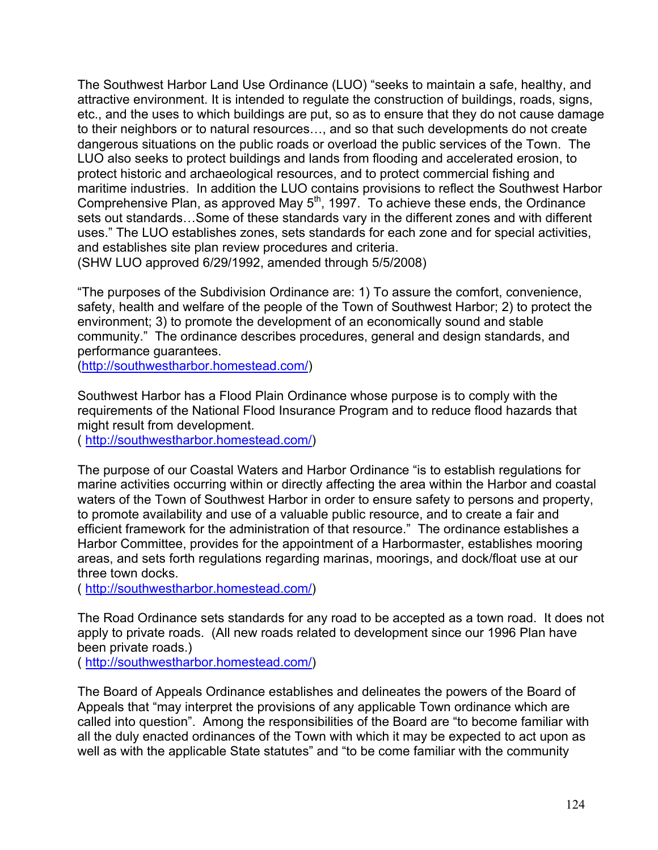The Southwest Harbor Land Use Ordinance (LUO) "seeks to maintain a safe, healthy, and attractive environment. It is intended to regulate the construction of buildings, roads, signs, etc., and the uses to which buildings are put, so as to ensure that they do not cause damage to their neighbors or to natural resources…, and so that such developments do not create dangerous situations on the public roads or overload the public services of the Town. The LUO also seeks to protect buildings and lands from flooding and accelerated erosion, to protect historic and archaeological resources, and to protect commercial fishing and maritime industries. In addition the LUO contains provisions to reflect the Southwest Harbor Comprehensive Plan, as approved May  $5<sup>th</sup>$ , 1997. To achieve these ends, the Ordinance sets out standards…Some of these standards vary in the different zones and with different uses." The LUO establishes zones, sets standards for each zone and for special activities, and establishes site plan review procedures and criteria.

(SHW LUO approved 6/29/1992, amended through 5/5/2008)

"The purposes of the Subdivision Ordinance are: 1) To assure the comfort, convenience, safety, health and welfare of the people of the Town of Southwest Harbor; 2) to protect the environment; 3) to promote the development of an economically sound and stable community." The ordinance describes procedures, general and design standards, and performance guarantees.

(http://southwestharbor.homestead.com/)

Southwest Harbor has a Flood Plain Ordinance whose purpose is to comply with the requirements of the National Flood Insurance Program and to reduce flood hazards that might result from development.

( http://southwestharbor.homestead.com/)

The purpose of our Coastal Waters and Harbor Ordinance "is to establish regulations for marine activities occurring within or directly affecting the area within the Harbor and coastal waters of the Town of Southwest Harbor in order to ensure safety to persons and property, to promote availability and use of a valuable public resource, and to create a fair and efficient framework for the administration of that resource." The ordinance establishes a Harbor Committee, provides for the appointment of a Harbormaster, establishes mooring areas, and sets forth regulations regarding marinas, moorings, and dock/float use at our three town docks.

( http://southwestharbor.homestead.com/)

The Road Ordinance sets standards for any road to be accepted as a town road. It does not apply to private roads. (All new roads related to development since our 1996 Plan have been private roads.)

( http://southwestharbor.homestead.com/)

The Board of Appeals Ordinance establishes and delineates the powers of the Board of Appeals that "may interpret the provisions of any applicable Town ordinance which are called into question". Among the responsibilities of the Board are "to become familiar with all the duly enacted ordinances of the Town with which it may be expected to act upon as well as with the applicable State statutes" and "to be come familiar with the community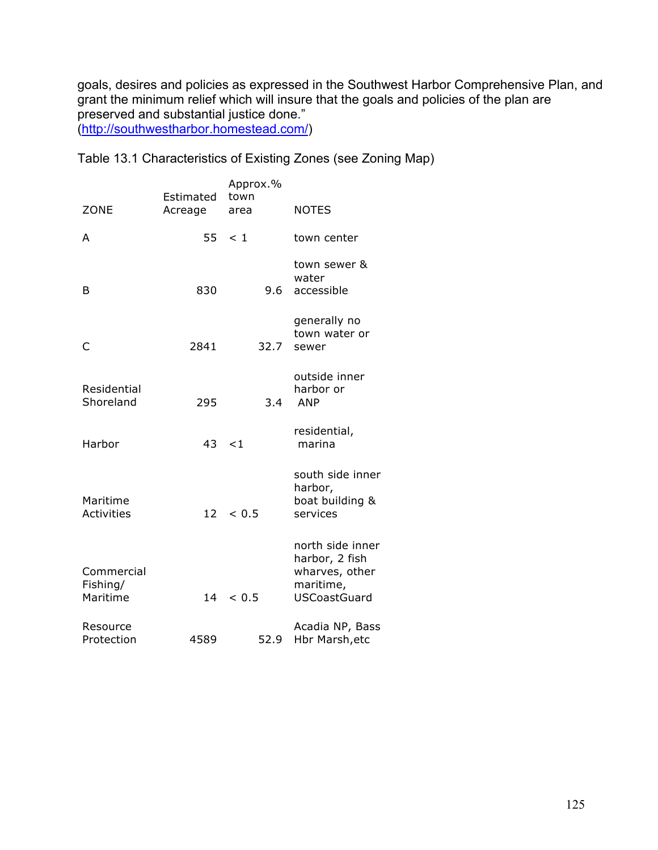goals, desires and policies as expressed in the Southwest Harbor Comprehensive Plan, and grant the minimum relief which will insure that the goals and policies of the plan are preserved and substantial justice done." (http://southwestharbor.homestead.com/)

Table 13.1 Characteristics of Existing Zones (see Zoning Map)

| <b>ZONE</b>                        | Estimated<br>Acreage | Approx.%<br>town<br>area | <b>NOTES</b>                                                                             |
|------------------------------------|----------------------|--------------------------|------------------------------------------------------------------------------------------|
| A                                  | 55                   | < 1                      | town center                                                                              |
| B                                  | 830                  | 9.6                      | town sewer &<br>water<br>accessible                                                      |
| C                                  | 2841                 | 32.7                     | generally no<br>town water or<br>sewer                                                   |
| Residential<br>Shoreland           | 295                  | 3.4                      | outside inner<br>harbor or<br><b>ANP</b>                                                 |
| Harbor                             | 43                   | $\leq 1$                 | residential,<br>marina                                                                   |
| Maritime<br><b>Activities</b>      | 12                   | < 0.5                    | south side inner<br>harbor,<br>boat building &<br>services                               |
| Commercial<br>Fishing/<br>Maritime | 14                   | < 0.5                    | north side inner<br>harbor, 2 fish<br>wharves, other<br>maritime,<br><b>USCoastGuard</b> |
| Resource<br>Protection             | 4589                 | 52.9                     | Acadia NP, Bass<br>Hbr Marsh, etc                                                        |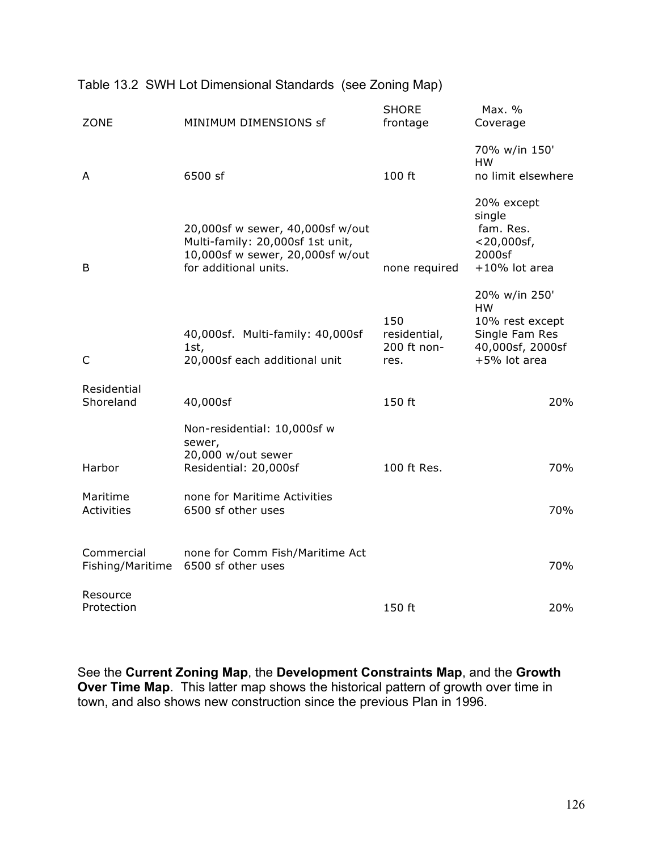| <b>ZONE</b>                    | MINIMUM DIMENSIONS sf                                                                                                             | <b>SHORE</b><br>frontage                   | Max. %<br>Coverage                                                                                  |
|--------------------------------|-----------------------------------------------------------------------------------------------------------------------------------|--------------------------------------------|-----------------------------------------------------------------------------------------------------|
| A                              | 6500 sf                                                                                                                           | 100 ft                                     | 70% w/in 150'<br><b>HW</b><br>no limit elsewhere                                                    |
| B                              | 20,000sf w sewer, 40,000sf w/out<br>Multi-family: 20,000sf 1st unit,<br>10,000sf w sewer, 20,000sf w/out<br>for additional units. | none required                              | 20% except<br>single<br>fam. Res.<br>$<$ 20,000sf,<br>2000sf<br>$+10\%$ lot area                    |
| C                              | 40,000sf. Multi-family: 40,000sf<br>1st,<br>20,000sf each additional unit                                                         | 150<br>residential,<br>200 ft non-<br>res. | 20% w/in 250'<br><b>HW</b><br>10% rest except<br>Single Fam Res<br>40,000sf, 2000sf<br>+5% lot area |
| Residential<br>Shoreland       | 40,000sf                                                                                                                          | 150 ft                                     | 20%                                                                                                 |
| Harbor                         | Non-residential: 10,000sf w<br>sewer,<br>20,000 w/out sewer<br>Residential: 20,000sf                                              | 100 ft Res.                                | 70%                                                                                                 |
| Maritime<br><b>Activities</b>  | none for Maritime Activities<br>6500 sf other uses                                                                                |                                            | 70%                                                                                                 |
| Commercial<br>Fishing/Maritime | none for Comm Fish/Maritime Act<br>6500 sf other uses                                                                             |                                            | 70%                                                                                                 |
| Resource<br>Protection         |                                                                                                                                   | 150 ft                                     | 20%                                                                                                 |

#### Table 13.2 SWH Lot Dimensional Standards (see Zoning Map)

See the **Current Zoning Map**, the **Development Constraints Map**, and the **Growth Over Time Map**. This latter map shows the historical pattern of growth over time in town, and also shows new construction since the previous Plan in 1996.